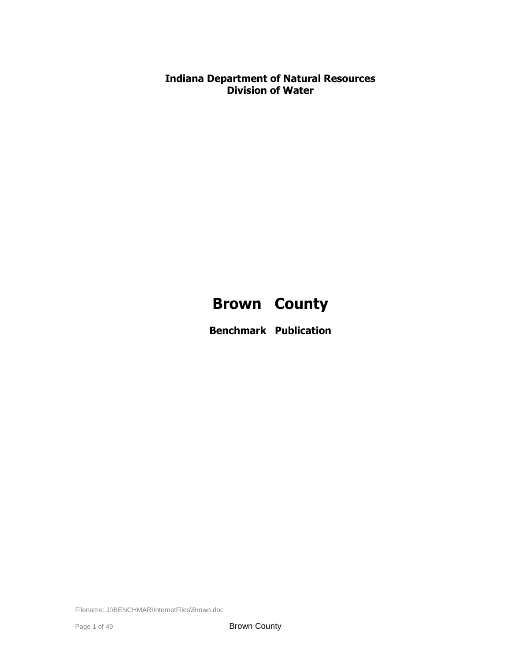**Indiana Department of Natural Resources Division of Water**

# **Brown County**

**Benchmark Publication**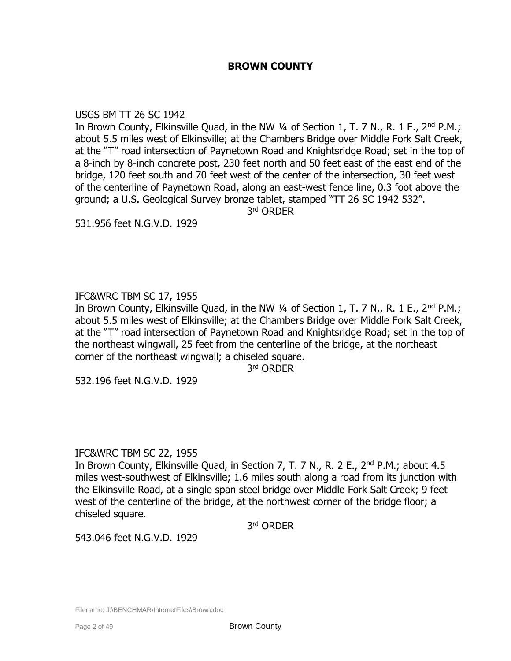# **BROWN COUNTY**

### USGS BM TT 26 SC 1942

In Brown County, Elkinsville Quad, in the NW  $\frac{1}{4}$  of Section 1, T. 7 N., R. 1 E., 2<sup>nd</sup> P.M.; about 5.5 miles west of Elkinsville; at the Chambers Bridge over Middle Fork Salt Creek, at the "T" road intersection of Paynetown Road and Knightsridge Road; set in the top of a 8-inch by 8-inch concrete post, 230 feet north and 50 feet east of the east end of the bridge, 120 feet south and 70 feet west of the center of the intersection, 30 feet west of the centerline of Paynetown Road, along an east-west fence line, 0.3 foot above the ground; a U.S. Geological Survey bronze tablet, stamped "TT 26 SC 1942 532".

3 rd ORDER

531.956 feet N.G.V.D. 1929

# IFC&WRC TBM SC 17, 1955

In Brown County, Elkinsville Quad, in the NW 1/4 of Section 1, T. 7 N., R. 1 E., 2<sup>nd</sup> P.M.; about 5.5 miles west of Elkinsville; at the Chambers Bridge over Middle Fork Salt Creek, at the "T" road intersection of Paynetown Road and Knightsridge Road; set in the top of the northeast wingwall, 25 feet from the centerline of the bridge, at the northeast corner of the northeast wingwall; a chiseled square.

3 rd ORDER

532.196 feet N.G.V.D. 1929

# IFC&WRC TBM SC 22, 1955

In Brown County, Elkinsville Quad, in Section 7, T. 7 N., R. 2 E., 2<sup>nd</sup> P.M.; about 4.5 miles west-southwest of Elkinsville; 1.6 miles south along a road from its junction with the Elkinsville Road, at a single span steel bridge over Middle Fork Salt Creek; 9 feet west of the centerline of the bridge, at the northwest corner of the bridge floor; a chiseled square.

3 rd ORDER

543.046 feet N.G.V.D. 1929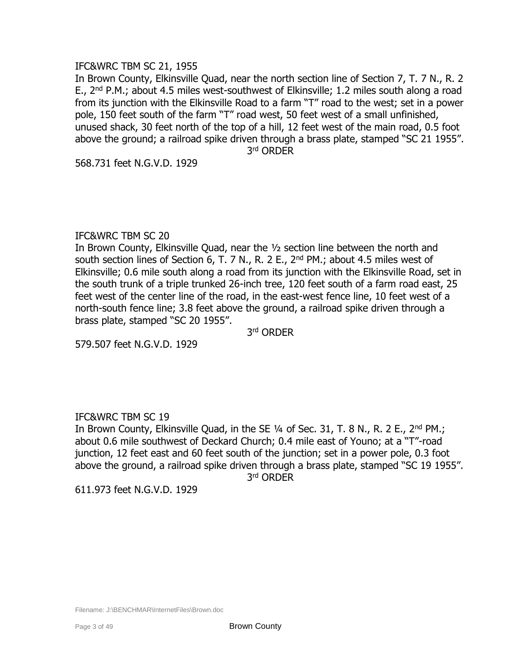# IFC&WRC TBM SC 21, 1955

In Brown County, Elkinsville Quad, near the north section line of Section 7, T. 7 N., R. 2 E.,  $2^{nd}$  P.M.; about 4.5 miles west-southwest of Elkinsville; 1.2 miles south along a road from its junction with the Elkinsville Road to a farm "T" road to the west; set in a power pole, 150 feet south of the farm "T" road west, 50 feet west of a small unfinished, unused shack, 30 feet north of the top of a hill, 12 feet west of the main road, 0.5 foot above the ground; a railroad spike driven through a brass plate, stamped "SC 21 1955". 3 rd ORDER

568.731 feet N.G.V.D. 1929

# IFC&WRC TBM SC 20

In Brown County, Elkinsville Quad, near the ½ section line between the north and south section lines of Section 6, T. 7 N., R. 2 E.,  $2<sup>nd</sup>$  PM.; about 4.5 miles west of Elkinsville; 0.6 mile south along a road from its junction with the Elkinsville Road, set in the south trunk of a triple trunked 26-inch tree, 120 feet south of a farm road east, 25 feet west of the center line of the road, in the east-west fence line, 10 feet west of a north-south fence line; 3.8 feet above the ground, a railroad spike driven through a brass plate, stamped "SC 20 1955".

3 rd ORDER

579.507 feet N.G.V.D. 1929

# IFC&WRC TBM SC 19

In Brown County, Elkinsville Quad, in the SE  $\frac{1}{4}$  of Sec. 31, T. 8 N., R. 2 E., 2<sup>nd</sup> PM.; about 0.6 mile southwest of Deckard Church; 0.4 mile east of Youno; at a "T"-road junction, 12 feet east and 60 feet south of the junction; set in a power pole, 0.3 foot above the ground, a railroad spike driven through a brass plate, stamped "SC 19 1955". 3 rd ORDER

611.973 feet N.G.V.D. 1929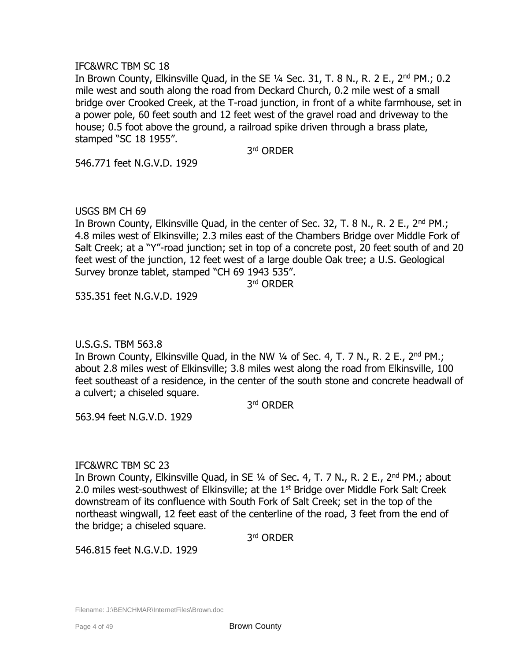## IFC&WRC TBM SC 18

In Brown County, Elkinsville Quad, in the SE  $1/4$  Sec. 31, T. 8 N., R. 2 E., 2<sup>nd</sup> PM.; 0.2 mile west and south along the road from Deckard Church, 0.2 mile west of a small bridge over Crooked Creek, at the T-road junction, in front of a white farmhouse, set in a power pole, 60 feet south and 12 feet west of the gravel road and driveway to the house; 0.5 foot above the ground, a railroad spike driven through a brass plate, stamped "SC 18 1955".

3 rd ORDER

546.771 feet N.G.V.D. 1929

USGS BM CH 69

In Brown County, Elkinsville Quad, in the center of Sec. 32, T. 8 N., R. 2 E., 2<sup>nd</sup> PM.; 4.8 miles west of Elkinsville; 2.3 miles east of the Chambers Bridge over Middle Fork of Salt Creek; at a "Y"-road junction; set in top of a concrete post, 20 feet south of and 20 feet west of the junction, 12 feet west of a large double Oak tree; a U.S. Geological Survey bronze tablet, stamped "CH 69 1943 535".

3 rd ORDER

535.351 feet N.G.V.D. 1929

U.S.G.S. TBM 563.8

In Brown County, Elkinsville Quad, in the NW  $\frac{1}{4}$  of Sec. 4, T. 7 N., R. 2 E.,  $2^{nd}$  PM.; about 2.8 miles west of Elkinsville; 3.8 miles west along the road from Elkinsville, 100 feet southeast of a residence, in the center of the south stone and concrete headwall of a culvert; a chiseled square.

3 rd ORDER

563.94 feet N.G.V.D. 1929

# IFC&WRC TBM SC 23

In Brown County, Elkinsville Quad, in SE 1/4 of Sec. 4, T. 7 N., R. 2 E., 2<sup>nd</sup> PM.; about 2.0 miles west-southwest of Elkinsville; at the  $1<sup>st</sup>$  Bridge over Middle Fork Salt Creek downstream of its confluence with South Fork of Salt Creek; set in the top of the northeast wingwall, 12 feet east of the centerline of the road, 3 feet from the end of the bridge; a chiseled square.

3 rd ORDER

546.815 feet N.G.V.D. 1929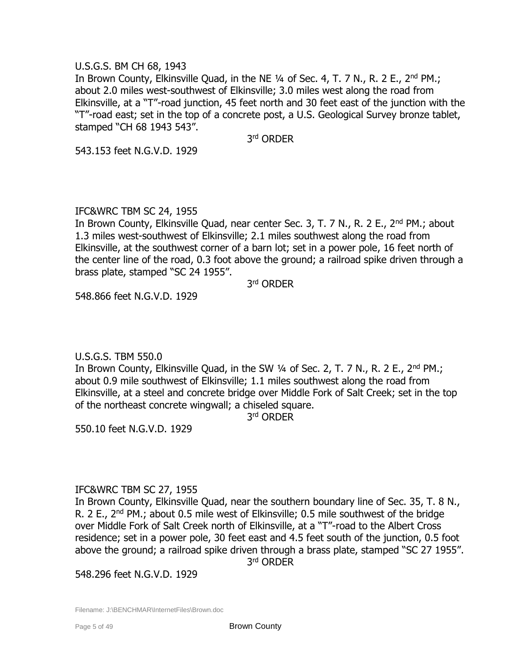# U.S.G.S. BM CH 68, 1943

In Brown County, Elkinsville Quad, in the NE 1/4 of Sec. 4, T. 7 N., R. 2 E., 2<sup>nd</sup> PM.; about 2.0 miles west-southwest of Elkinsville; 3.0 miles west along the road from Elkinsville, at a "T"-road junction, 45 feet north and 30 feet east of the junction with the "T"-road east; set in the top of a concrete post, a U.S. Geological Survey bronze tablet, stamped "CH 68 1943 543".

3 rd ORDER

543.153 feet N.G.V.D. 1929

# IFC&WRC TBM SC 24, 1955

In Brown County, Elkinsville Quad, near center Sec. 3, T. 7 N., R. 2 E., 2<sup>nd</sup> PM.; about 1.3 miles west-southwest of Elkinsville; 2.1 miles southwest along the road from Elkinsville, at the southwest corner of a barn lot; set in a power pole, 16 feet north of the center line of the road, 0.3 foot above the ground; a railroad spike driven through a brass plate, stamped "SC 24 1955".

3 rd ORDER

548.866 feet N.G.V.D. 1929

# U.S.G.S. TBM 550.0

In Brown County, Elkinsville Quad, in the SW 1/4 of Sec. 2, T. 7 N., R. 2 E., 2<sup>nd</sup> PM.; about 0.9 mile southwest of Elkinsville; 1.1 miles southwest along the road from Elkinsville, at a steel and concrete bridge over Middle Fork of Salt Creek; set in the top of the northeast concrete wingwall; a chiseled square.

3 rd ORDER

550.10 feet N.G.V.D. 1929

# IFC&WRC TBM SC 27, 1955

In Brown County, Elkinsville Quad, near the southern boundary line of Sec. 35, T. 8 N., R. 2 E.,  $2<sup>nd</sup>$  PM.; about 0.5 mile west of Elkinsville; 0.5 mile southwest of the bridge over Middle Fork of Salt Creek north of Elkinsville, at a "T"-road to the Albert Cross residence; set in a power pole, 30 feet east and 4.5 feet south of the junction, 0.5 foot above the ground; a railroad spike driven through a brass plate, stamped "SC 27 1955".

3 rd ORDER

548.296 feet N.G.V.D. 1929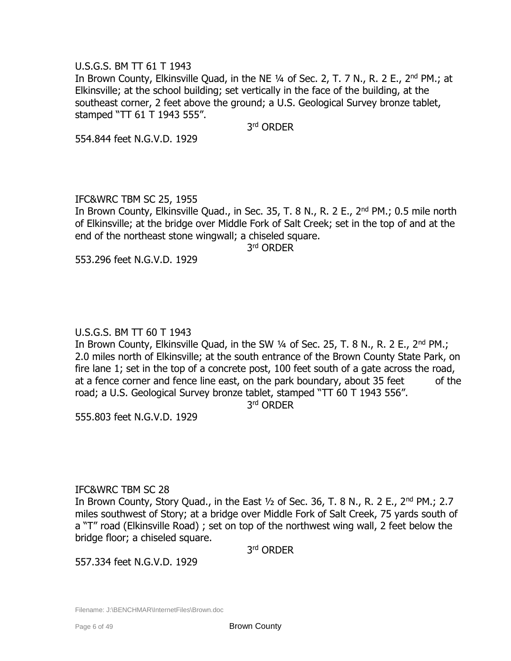# U.S.G.S. BM TT 61 T 1943

In Brown County, Elkinsville Ouad, in the NE 1/4 of Sec. 2, T. 7 N., R. 2 E., 2<sup>nd</sup> PM.; at Elkinsville; at the school building; set vertically in the face of the building, at the southeast corner, 2 feet above the ground; a U.S. Geological Survey bronze tablet, stamped "TT 61 T 1943 555".

3 rd ORDER

554.844 feet N.G.V.D. 1929

# IFC&WRC TBM SC 25, 1955

In Brown County, Elkinsville Quad., in Sec. 35, T. 8 N., R. 2 E., 2<sup>nd</sup> PM.; 0.5 mile north of Elkinsville; at the bridge over Middle Fork of Salt Creek; set in the top of and at the end of the northeast stone wingwall; a chiseled square.

3 rd ORDER

553.296 feet N.G.V.D. 1929

# U.S.G.S. BM TT 60 T 1943

In Brown County, Elkinsville Quad, in the SW  $\frac{1}{4}$  of Sec. 25, T. 8 N., R. 2 E., 2<sup>nd</sup> PM.; 2.0 miles north of Elkinsville; at the south entrance of the Brown County State Park, on fire lane 1; set in the top of a concrete post, 100 feet south of a gate across the road, at a fence corner and fence line east, on the park boundary, about 35 feet of the road; a U.S. Geological Survey bronze tablet, stamped "TT 60 T 1943 556".

3 rd ORDER

555.803 feet N.G.V.D. 1929

# IFC&WRC TBM SC 28

In Brown County, Story Quad., in the East  $\frac{1}{2}$  of Sec. 36, T. 8 N., R. 2 E., 2<sup>nd</sup> PM.; 2.7 miles southwest of Story; at a bridge over Middle Fork of Salt Creek, 75 yards south of a "T" road (Elkinsville Road) ; set on top of the northwest wing wall, 2 feet below the bridge floor; a chiseled square.

3 rd ORDER

557.334 feet N.G.V.D. 1929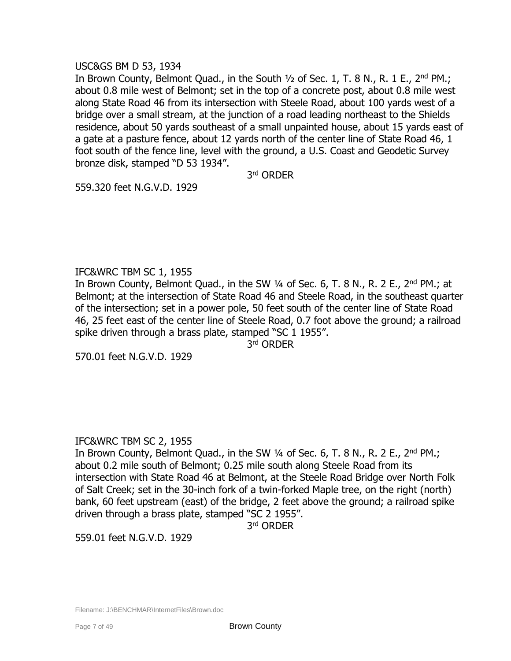## USC&GS BM D 53, 1934

In Brown County, Belmont Quad., in the South  $1/2$  of Sec. 1, T. 8 N., R. 1 E., 2<sup>nd</sup> PM.; about 0.8 mile west of Belmont; set in the top of a concrete post, about 0.8 mile west along State Road 46 from its intersection with Steele Road, about 100 yards west of a bridge over a small stream, at the junction of a road leading northeast to the Shields residence, about 50 yards southeast of a small unpainted house, about 15 yards east of a gate at a pasture fence, about 12 yards north of the center line of State Road 46, 1 foot south of the fence line, level with the ground, a U.S. Coast and Geodetic Survey bronze disk, stamped "D 53 1934".

3 rd ORDER

559.320 feet N.G.V.D. 1929

# IFC&WRC TBM SC 1, 1955

In Brown County, Belmont Quad., in the SW  $\frac{1}{4}$  of Sec. 6, T. 8 N., R. 2 E., 2<sup>nd</sup> PM.; at Belmont; at the intersection of State Road 46 and Steele Road, in the southeast quarter of the intersection; set in a power pole, 50 feet south of the center line of State Road 46, 25 feet east of the center line of Steele Road, 0.7 foot above the ground; a railroad spike driven through a brass plate, stamped "SC 1 1955".

3 rd ORDER

570.01 feet N.G.V.D. 1929

# IFC&WRC TBM SC 2, 1955

In Brown County, Belmont Quad., in the SW  $\frac{1}{4}$  of Sec. 6, T. 8 N., R. 2 E., 2<sup>nd</sup> PM.; about 0.2 mile south of Belmont; 0.25 mile south along Steele Road from its intersection with State Road 46 at Belmont, at the Steele Road Bridge over North Folk of Salt Creek; set in the 30-inch fork of a twin-forked Maple tree, on the right (north) bank, 60 feet upstream (east) of the bridge, 2 feet above the ground; a railroad spike driven through a brass plate, stamped "SC 2 1955".

3 rd ORDER

559.01 feet N.G.V.D. 1929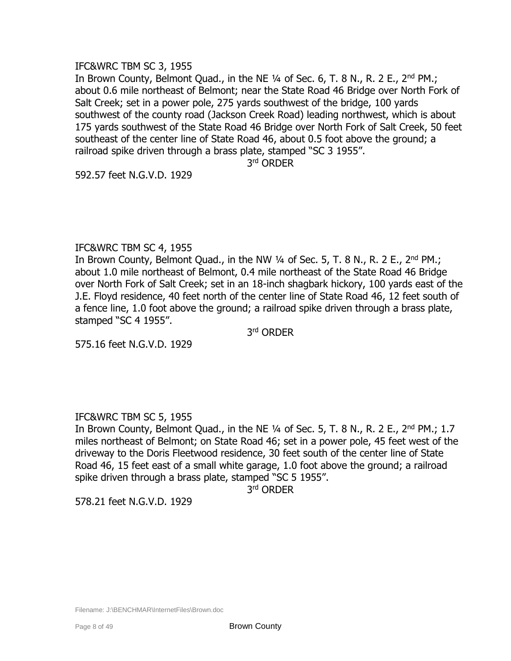# IFC&WRC TBM SC 3, 1955

In Brown County, Belmont Quad., in the NE  $\frac{1}{4}$  of Sec. 6, T. 8 N., R. 2 E., 2<sup>nd</sup> PM.; about 0.6 mile northeast of Belmont; near the State Road 46 Bridge over North Fork of Salt Creek; set in a power pole, 275 yards southwest of the bridge, 100 yards southwest of the county road (Jackson Creek Road) leading northwest, which is about 175 yards southwest of the State Road 46 Bridge over North Fork of Salt Creek, 50 feet southeast of the center line of State Road 46, about 0.5 foot above the ground; a railroad spike driven through a brass plate, stamped "SC 3 1955".

3 rd ORDER

592.57 feet N.G.V.D. 1929

## IFC&WRC TBM SC 4, 1955

In Brown County, Belmont Quad., in the NW  $\frac{1}{4}$  of Sec. 5, T. 8 N., R. 2 E., 2<sup>nd</sup> PM.; about 1.0 mile northeast of Belmont, 0.4 mile northeast of the State Road 46 Bridge over North Fork of Salt Creek; set in an 18-inch shagbark hickory, 100 yards east of the J.E. Floyd residence, 40 feet north of the center line of State Road 46, 12 feet south of a fence line, 1.0 foot above the ground; a railroad spike driven through a brass plate, stamped "SC 4 1955".

3 rd ORDER

575.16 feet N.G.V.D. 1929

# IFC&WRC TBM SC 5, 1955

In Brown County, Belmont Quad., in the NE  $\frac{1}{4}$  of Sec. 5, T. 8 N., R. 2 E., 2<sup>nd</sup> PM.; 1.7 miles northeast of Belmont; on State Road 46; set in a power pole, 45 feet west of the driveway to the Doris Fleetwood residence, 30 feet south of the center line of State Road 46, 15 feet east of a small white garage, 1.0 foot above the ground; a railroad spike driven through a brass plate, stamped "SC 5 1955".

3 rd ORDER

578.21 feet N.G.V.D. 1929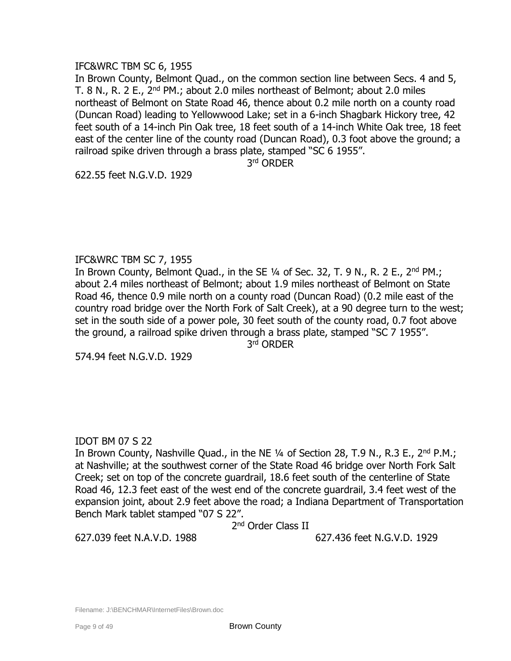# IFC&WRC TBM SC 6, 1955

In Brown County, Belmont Quad., on the common section line between Secs. 4 and 5, T. 8 N., R. 2 E., 2<sup>nd</sup> PM.; about 2.0 miles northeast of Belmont; about 2.0 miles northeast of Belmont on State Road 46, thence about 0.2 mile north on a county road (Duncan Road) leading to Yellowwood Lake; set in a 6-inch Shagbark Hickory tree, 42 feet south of a 14-inch Pin Oak tree, 18 feet south of a 14-inch White Oak tree, 18 feet east of the center line of the county road (Duncan Road), 0.3 foot above the ground; a railroad spike driven through a brass plate, stamped "SC 6 1955".

3 rd ORDER

622.55 feet N.G.V.D. 1929

## IFC&WRC TBM SC 7, 1955

In Brown County, Belmont Quad., in the SE  $\frac{1}{4}$  of Sec. 32, T. 9 N., R. 2 E., 2<sup>nd</sup> PM.; about 2.4 miles northeast of Belmont; about 1.9 miles northeast of Belmont on State Road 46, thence 0.9 mile north on a county road (Duncan Road) (0.2 mile east of the country road bridge over the North Fork of Salt Creek), at a 90 degree turn to the west; set in the south side of a power pole, 30 feet south of the county road, 0.7 foot above the ground, a railroad spike driven through a brass plate, stamped "SC 7 1955".

3 rd ORDER

574.94 feet N.G.V.D. 1929

# IDOT BM 07 S 22

In Brown County, Nashville Quad., in the NE 1/4 of Section 28, T.9 N., R.3 E., 2<sup>nd</sup> P.M.; at Nashville; at the southwest corner of the State Road 46 bridge over North Fork Salt Creek; set on top of the concrete guardrail, 18.6 feet south of the centerline of State Road 46, 12.3 feet east of the west end of the concrete guardrail, 3.4 feet west of the expansion joint, about 2.9 feet above the road; a Indiana Department of Transportation Bench Mark tablet stamped "07 S 22".

2<sup>nd</sup> Order Class II

627.039 feet N.A.V.D. 1988 627.436 feet N.G.V.D. 1929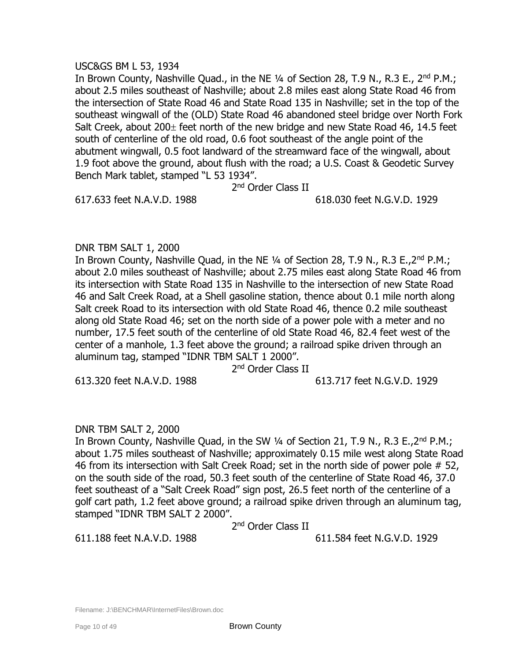## USC&GS BM L 53, 1934

In Brown County, Nashville Quad., in the NE 1/4 of Section 28, T.9 N., R.3 E., 2<sup>nd</sup> P.M.; about 2.5 miles southeast of Nashville; about 2.8 miles east along State Road 46 from the intersection of State Road 46 and State Road 135 in Nashville; set in the top of the southeast wingwall of the (OLD) State Road 46 abandoned steel bridge over North Fork Salt Creek, about  $200<sub>\pm</sub>$  feet north of the new bridge and new State Road 46, 14.5 feet south of centerline of the old road, 0.6 foot southeast of the angle point of the abutment wingwall, 0.5 foot landward of the streamward face of the wingwall, about 1.9 foot above the ground, about flush with the road; a U.S. Coast & Geodetic Survey Bench Mark tablet, stamped "L 53 1934".

2<sup>nd</sup> Order Class II

617.633 feet N.A.V.D. 1988 618.030 feet N.G.V.D. 1929

## DNR TBM SALT 1, 2000

In Brown County, Nashville Quad, in the NE ¼ of Section 28, T.9 N., R.3 E.,2nd P.M.; about 2.0 miles southeast of Nashville; about 2.75 miles east along State Road 46 from its intersection with State Road 135 in Nashville to the intersection of new State Road 46 and Salt Creek Road, at a Shell gasoline station, thence about 0.1 mile north along Salt creek Road to its intersection with old State Road 46, thence 0.2 mile southeast along old State Road 46; set on the north side of a power pole with a meter and no number, 17.5 feet south of the centerline of old State Road 46, 82.4 feet west of the center of a manhole, 1.3 feet above the ground; a railroad spike driven through an aluminum tag, stamped "IDNR TBM SALT 1 2000".

2<sup>nd</sup> Order Class II

613.320 feet N.A.V.D. 1988 613.717 feet N.G.V.D. 1929

# DNR TBM SALT 2, 2000

In Brown County, Nashville Quad, in the SW 1/4 of Section 21, T.9 N., R.3 E., 2<sup>nd</sup> P.M.; about 1.75 miles southeast of Nashville; approximately 0.15 mile west along State Road 46 from its intersection with Salt Creek Road; set in the north side of power pole # 52, on the south side of the road, 50.3 feet south of the centerline of State Road 46, 37.0 feet southeast of a "Salt Creek Road" sign post, 26.5 feet north of the centerline of a golf cart path, 1.2 feet above ground; a railroad spike driven through an aluminum tag, stamped "IDNR TBM SALT 2 2000".

2<sup>nd</sup> Order Class II

611.188 feet N.A.V.D. 1988 611.584 feet N.G.V.D. 1929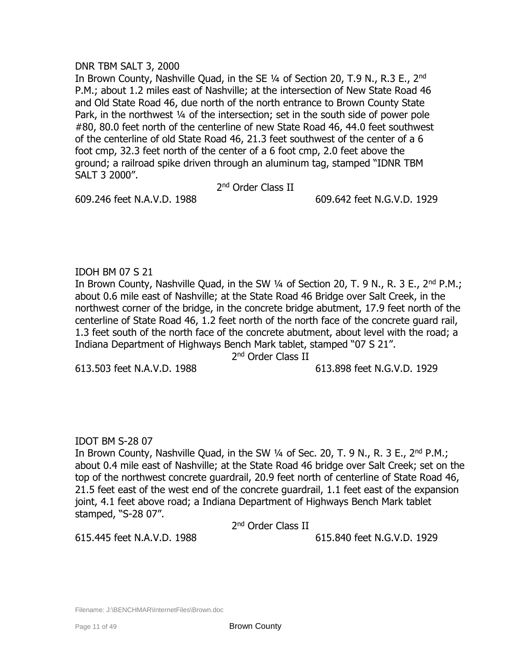## DNR TBM SALT 3, 2000

In Brown County, Nashville Ouad, in the SE 1/4 of Section 20, T.9 N., R.3 E., 2<sup>nd</sup> P.M.; about 1.2 miles east of Nashville; at the intersection of New State Road 46 and Old State Road 46, due north of the north entrance to Brown County State Park, in the northwest 1/4 of the intersection; set in the south side of power pole #80, 80.0 feet north of the centerline of new State Road 46, 44.0 feet southwest of the centerline of old State Road 46, 21.3 feet southwest of the center of a 6 foot cmp, 32.3 feet north of the center of a 6 foot cmp, 2.0 feet above the ground; a railroad spike driven through an aluminum tag, stamped "IDNR TBM SALT 3 2000".

2<sup>nd</sup> Order Class II

609.246 feet N.A.V.D. 1988 609.642 feet N.G.V.D. 1929

# IDOH BM 07 S 21

In Brown County, Nashville Quad, in the SW 1/4 of Section 20, T. 9 N., R. 3 E., 2<sup>nd</sup> P.M.; about 0.6 mile east of Nashville; at the State Road 46 Bridge over Salt Creek, in the northwest corner of the bridge, in the concrete bridge abutment, 17.9 feet north of the centerline of State Road 46, 1.2 feet north of the north face of the concrete guard rail, 1.3 feet south of the north face of the concrete abutment, about level with the road; a Indiana Department of Highways Bench Mark tablet, stamped "07 S 21".

2<sup>nd</sup> Order Class II

613.503 feet N.A.V.D. 1988 613.898 feet N.G.V.D. 1929

# IDOT BM S-28 07

In Brown County, Nashville Quad, in the SW ¼ of Sec. 20, T. 9 N., R. 3 E., 2nd P.M.; about 0.4 mile east of Nashville; at the State Road 46 bridge over Salt Creek; set on the top of the northwest concrete guardrail, 20.9 feet north of centerline of State Road 46, 21.5 feet east of the west end of the concrete guardrail, 1.1 feet east of the expansion joint, 4.1 feet above road; a Indiana Department of Highways Bench Mark tablet stamped, "S-28 07".

2<sup>nd</sup> Order Class II

615.445 feet N.A.V.D. 1988 615.840 feet N.G.V.D. 1929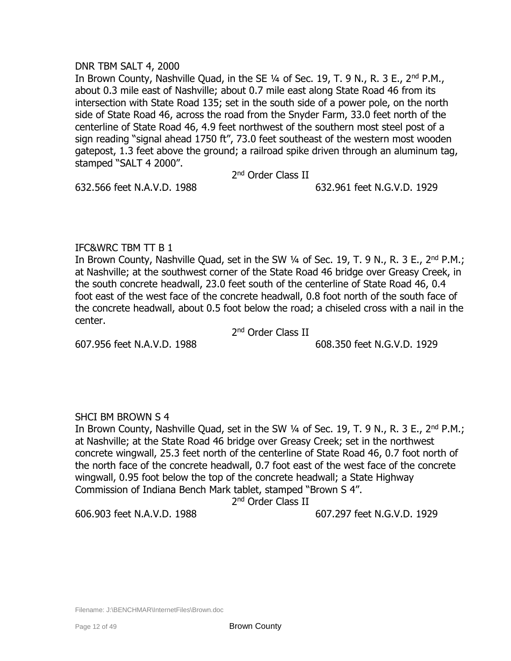## DNR TBM SALT 4, 2000

In Brown County, Nashville Quad, in the SE 1/4 of Sec. 19, T. 9 N., R. 3 E., 2<sup>nd</sup> P.M., about 0.3 mile east of Nashville; about 0.7 mile east along State Road 46 from its intersection with State Road 135; set in the south side of a power pole, on the north side of State Road 46, across the road from the Snyder Farm, 33.0 feet north of the centerline of State Road 46, 4.9 feet northwest of the southern most steel post of a sign reading "signal ahead 1750 ft", 73.0 feet southeast of the western most wooden gatepost, 1.3 feet above the ground; a railroad spike driven through an aluminum tag, stamped "SALT 4 2000".

2<sup>nd</sup> Order Class II

# 632.566 feet N.A.V.D. 1988 632.961 feet N.G.V.D. 1929

# IFC&WRC TBM TT B 1

In Brown County, Nashville Quad, set in the SW  $\frac{1}{4}$  of Sec. 19, T. 9 N., R. 3 E., 2<sup>nd</sup> P.M.; at Nashville; at the southwest corner of the State Road 46 bridge over Greasy Creek, in the south concrete headwall, 23.0 feet south of the centerline of State Road 46, 0.4 foot east of the west face of the concrete headwall, 0.8 foot north of the south face of the concrete headwall, about 0.5 foot below the road; a chiseled cross with a nail in the center.

2<sup>nd</sup> Order Class II

607.956 feet N.A.V.D. 1988 608.350 feet N.G.V.D. 1929

# SHCI BM BROWN S 4

In Brown County, Nashville Quad, set in the SW 1/4 of Sec. 19, T. 9 N., R. 3 E., 2<sup>nd</sup> P.M.; at Nashville; at the State Road 46 bridge over Greasy Creek; set in the northwest concrete wingwall, 25.3 feet north of the centerline of State Road 46, 0.7 foot north of the north face of the concrete headwall, 0.7 foot east of the west face of the concrete wingwall, 0.95 foot below the top of the concrete headwall; a State Highway Commission of Indiana Bench Mark tablet, stamped "Brown S 4".

2<sup>nd</sup> Order Class II

606.903 feet N.A.V.D. 1988 607.297 feet N.G.V.D. 1929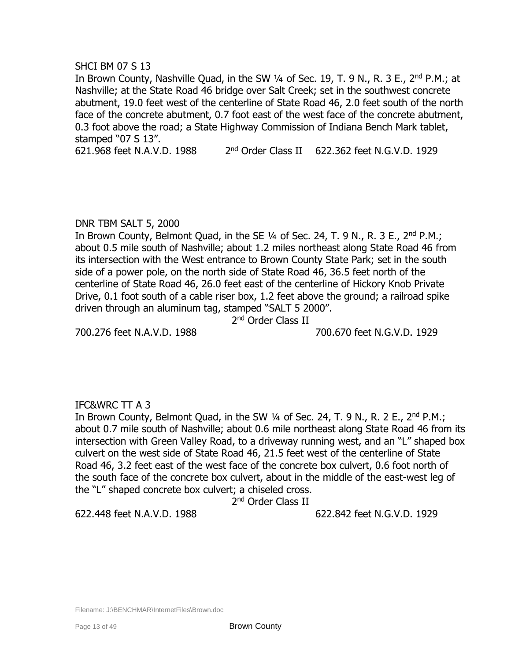## SHCI BM 07 S 13

In Brown County, Nashville Quad, in the SW 1/4 of Sec. 19, T. 9 N., R. 3 E., 2<sup>nd</sup> P.M.; at Nashville; at the State Road 46 bridge over Salt Creek; set in the southwest concrete abutment, 19.0 feet west of the centerline of State Road 46, 2.0 feet south of the north face of the concrete abutment, 0.7 foot east of the west face of the concrete abutment, 0.3 foot above the road; a State Highway Commission of Indiana Bench Mark tablet, stamped "07 S 13".

621.968 feet N.A.V.D. 1988 2  $2<sup>nd</sup>$  Order Class II 622.362 feet N.G.V.D. 1929

# DNR TBM SALT 5, 2000

In Brown County, Belmont Quad, in the SE  $\frac{1}{4}$  of Sec. 24, T. 9 N., R. 3 E., 2<sup>nd</sup> P.M.; about 0.5 mile south of Nashville; about 1.2 miles northeast along State Road 46 from its intersection with the West entrance to Brown County State Park; set in the south side of a power pole, on the north side of State Road 46, 36.5 feet north of the centerline of State Road 46, 26.0 feet east of the centerline of Hickory Knob Private Drive, 0.1 foot south of a cable riser box, 1.2 feet above the ground; a railroad spike driven through an aluminum tag, stamped "SALT 5 2000".

2<sup>nd</sup> Order Class II

700.276 feet N.A.V.D. 1988 700.670 feet N.G.V.D. 1929

# IFC&WRC TT A 3

In Brown County, Belmont Quad, in the SW  $\frac{1}{4}$  of Sec. 24, T. 9 N., R. 2 E., 2<sup>nd</sup> P.M.; about 0.7 mile south of Nashville; about 0.6 mile northeast along State Road 46 from its intersection with Green Valley Road, to a driveway running west, and an "L" shaped box culvert on the west side of State Road 46, 21.5 feet west of the centerline of State Road 46, 3.2 feet east of the west face of the concrete box culvert, 0.6 foot north of the south face of the concrete box culvert, about in the middle of the east-west leg of the "L" shaped concrete box culvert; a chiseled cross.

2<sup>nd</sup> Order Class II

622.448 feet N.A.V.D. 1988 622.842 feet N.G.V.D. 1929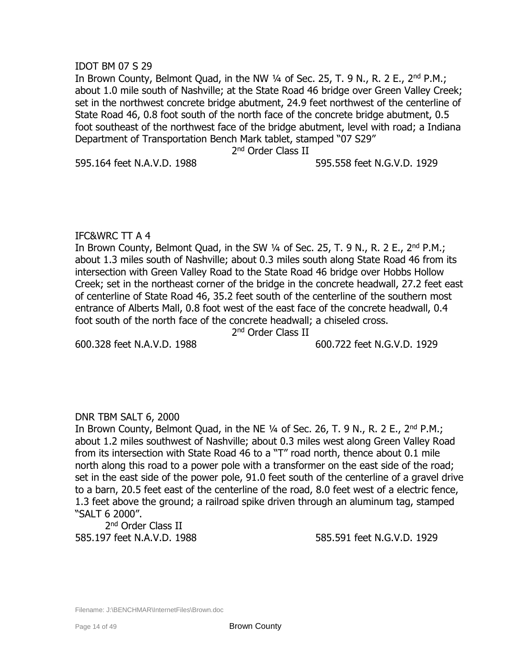## IDOT BM 07 S 29

In Brown County, Belmont Quad, in the NW 1/4 of Sec. 25, T. 9 N., R. 2 E., 2<sup>nd</sup> P.M.; about 1.0 mile south of Nashville; at the State Road 46 bridge over Green Valley Creek; set in the northwest concrete bridge abutment, 24.9 feet northwest of the centerline of State Road 46, 0.8 foot south of the north face of the concrete bridge abutment, 0.5 foot southeast of the northwest face of the bridge abutment, level with road; a Indiana Department of Transportation Bench Mark tablet, stamped "07 S29"

2<sup>nd</sup> Order Class II

595.164 feet N.A.V.D. 1988 595.558 feet N.G.V.D. 1929

# IFC&WRC TT A 4

In Brown County, Belmont Quad, in the SW  $\frac{1}{4}$  of Sec. 25, T. 9 N., R. 2 E., 2<sup>nd</sup> P.M.; about 1.3 miles south of Nashville; about 0.3 miles south along State Road 46 from its intersection with Green Valley Road to the State Road 46 bridge over Hobbs Hollow Creek; set in the northeast corner of the bridge in the concrete headwall, 27.2 feet east of centerline of State Road 46, 35.2 feet south of the centerline of the southern most entrance of Alberts Mall, 0.8 foot west of the east face of the concrete headwall, 0.4 foot south of the north face of the concrete headwall; a chiseled cross.

2<sup>nd</sup> Order Class II

600.328 feet N.A.V.D. 1988 600.722 feet N.G.V.D. 1929

# DNR TBM SALT 6, 2000

In Brown County, Belmont Quad, in the NE  $\frac{1}{4}$  of Sec. 26, T. 9 N., R. 2 E., 2<sup>nd</sup> P.M.; about 1.2 miles southwest of Nashville; about 0.3 miles west along Green Valley Road from its intersection with State Road 46 to a "T" road north, thence about 0.1 mile north along this road to a power pole with a transformer on the east side of the road; set in the east side of the power pole, 91.0 feet south of the centerline of a gravel drive to a barn, 20.5 feet east of the centerline of the road, 8.0 feet west of a electric fence, 1.3 feet above the ground; a railroad spike driven through an aluminum tag, stamped "SALT 6 2000".

2<sup>nd</sup> Order Class II 585.197 feet N.A.V.D. 1988 585.591 feet N.G.V.D. 1929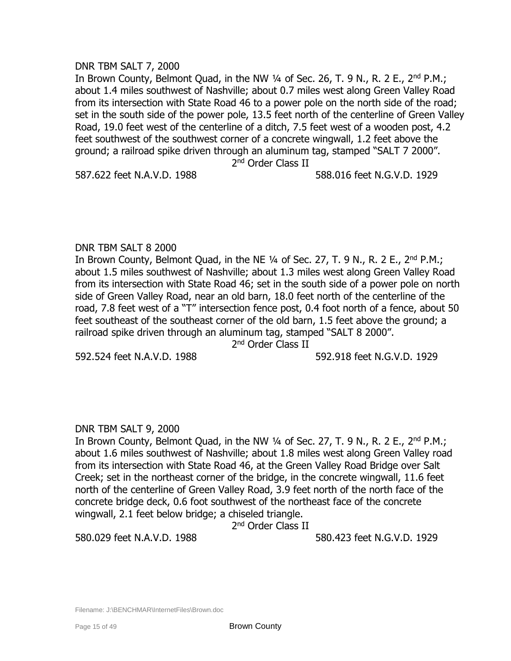## DNR TBM SALT 7, 2000

In Brown County, Belmont Ouad, in the NW  $\frac{1}{4}$  of Sec. 26, T, 9 N,, R, 2 E,, 2<sup>nd</sup> P.M.; about 1.4 miles southwest of Nashville; about 0.7 miles west along Green Valley Road from its intersection with State Road 46 to a power pole on the north side of the road; set in the south side of the power pole, 13.5 feet north of the centerline of Green Valley Road, 19.0 feet west of the centerline of a ditch, 7.5 feet west of a wooden post, 4.2 feet southwest of the southwest corner of a concrete wingwall, 1.2 feet above the ground; a railroad spike driven through an aluminum tag, stamped "SALT 7 2000". 2<sup>nd</sup> Order Class II

## 587.622 feet N.A.V.D. 1988 588.016 feet N.G.V.D. 1929

# DNR TBM SALT 8 2000

In Brown County, Belmont Quad, in the NE  $\frac{1}{4}$  of Sec. 27, T. 9 N., R. 2 E., 2<sup>nd</sup> P.M.; about 1.5 miles southwest of Nashville; about 1.3 miles west along Green Valley Road from its intersection with State Road 46; set in the south side of a power pole on north side of Green Valley Road, near an old barn, 18.0 feet north of the centerline of the road, 7.8 feet west of a "T" intersection fence post, 0.4 foot north of a fence, about 50 feet southeast of the southeast corner of the old barn, 1.5 feet above the ground; a railroad spike driven through an aluminum tag, stamped "SALT 8 2000".

2<sup>nd</sup> Order Class II

592.524 feet N.A.V.D. 1988 592.918 feet N.G.V.D. 1929

# DNR TBM SALT 9, 2000

In Brown County, Belmont Quad, in the NW 1/4 of Sec. 27, T. 9 N., R. 2 E., 2<sup>nd</sup> P.M.; about 1.6 miles southwest of Nashville; about 1.8 miles west along Green Valley road from its intersection with State Road 46, at the Green Valley Road Bridge over Salt Creek; set in the northeast corner of the bridge, in the concrete wingwall, 11.6 feet north of the centerline of Green Valley Road, 3.9 feet north of the north face of the concrete bridge deck, 0.6 foot southwest of the northeast face of the concrete wingwall, 2.1 feet below bridge; a chiseled triangle.

2<sup>nd</sup> Order Class II

580.029 feet N.A.V.D. 1988 580.423 feet N.G.V.D. 1929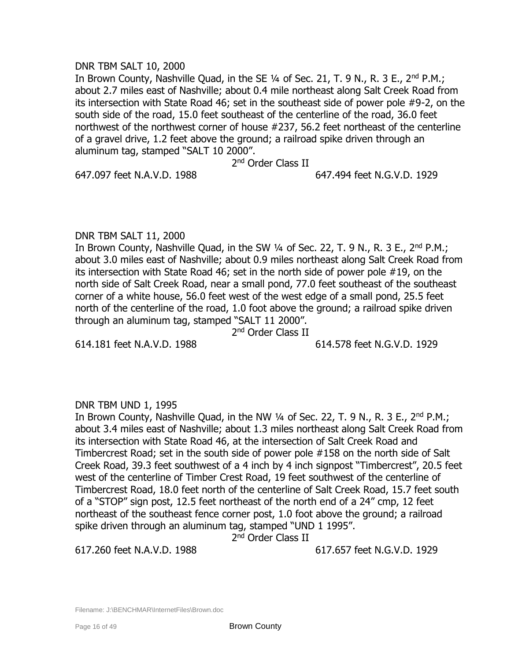## DNR TBM SALT 10, 2000

In Brown County, Nashville Quad, in the SE 1/4 of Sec. 21, T. 9 N., R. 3 E., 2<sup>nd</sup> P.M.; about 2.7 miles east of Nashville; about 0.4 mile northeast along Salt Creek Road from its intersection with State Road 46; set in the southeast side of power pole #9-2, on the south side of the road, 15.0 feet southeast of the centerline of the road, 36.0 feet northwest of the northwest corner of house #237, 56.2 feet northeast of the centerline of a gravel drive, 1.2 feet above the ground; a railroad spike driven through an aluminum tag, stamped "SALT 10 2000".

### 2<sup>nd</sup> Order Class II

#### 647.097 feet N.A.V.D. 1988 647.494 feet N.G.V.D. 1929

# DNR TBM SALT 11, 2000

In Brown County, Nashville Quad, in the SW 1/4 of Sec. 22, T. 9 N., R. 3 E., 2<sup>nd</sup> P.M.; about 3.0 miles east of Nashville; about 0.9 miles northeast along Salt Creek Road from its intersection with State Road 46; set in the north side of power pole #19, on the north side of Salt Creek Road, near a small pond, 77.0 feet southeast of the southeast corner of a white house, 56.0 feet west of the west edge of a small pond, 25.5 feet north of the centerline of the road, 1.0 foot above the ground; a railroad spike driven through an aluminum tag, stamped "SALT 11 2000".

2<sup>nd</sup> Order Class II

614.181 feet N.A.V.D. 1988 614.578 feet N.G.V.D. 1929

# DNR TBM UND 1, 1995

In Brown County, Nashville Quad, in the NW  $\frac{1}{4}$  of Sec. 22, T. 9 N., R. 3 E., 2<sup>nd</sup> P.M.; about 3.4 miles east of Nashville; about 1.3 miles northeast along Salt Creek Road from its intersection with State Road 46, at the intersection of Salt Creek Road and Timbercrest Road; set in the south side of power pole #158 on the north side of Salt Creek Road, 39.3 feet southwest of a 4 inch by 4 inch signpost "Timbercrest", 20.5 feet west of the centerline of Timber Crest Road, 19 feet southwest of the centerline of Timbercrest Road, 18.0 feet north of the centerline of Salt Creek Road, 15.7 feet south of a "STOP" sign post, 12.5 feet northeast of the north end of a 24" cmp, 12 feet northeast of the southeast fence corner post, 1.0 foot above the ground; a railroad spike driven through an aluminum tag, stamped "UND 1 1995".

2<sup>nd</sup> Order Class II

617.260 feet N.A.V.D. 1988 617.657 feet N.G.V.D. 1929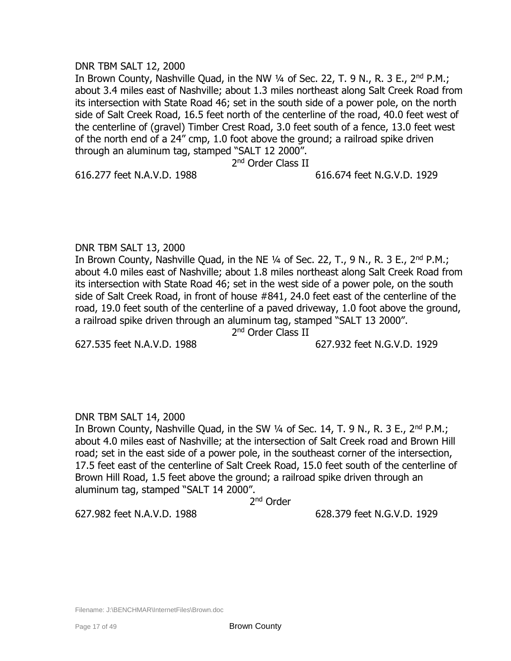## DNR TBM SALT 12, 2000

In Brown County, Nashville Quad, in the NW 1/4 of Sec. 22, T. 9 N., R. 3 E., 2<sup>nd</sup> P.M.; about 3.4 miles east of Nashville; about 1.3 miles northeast along Salt Creek Road from its intersection with State Road 46; set in the south side of a power pole, on the north side of Salt Creek Road, 16.5 feet north of the centerline of the road, 40.0 feet west of the centerline of (gravel) Timber Crest Road, 3.0 feet south of a fence, 13.0 feet west of the north end of a 24" cmp, 1.0 foot above the ground; a railroad spike driven through an aluminum tag, stamped "SALT 12 2000".

2<sup>nd</sup> Order Class II

#### 616.277 feet N.A.V.D. 1988 616.674 feet N.G.V.D. 1929

# DNR TBM SALT 13, 2000

In Brown County, Nashville Quad, in the NE  $\frac{1}{4}$  of Sec. 22, T., 9 N., R. 3 E., 2<sup>nd</sup> P.M.; about 4.0 miles east of Nashville; about 1.8 miles northeast along Salt Creek Road from its intersection with State Road 46; set in the west side of a power pole, on the south side of Salt Creek Road, in front of house #841, 24.0 feet east of the centerline of the road, 19.0 feet south of the centerline of a paved driveway, 1.0 foot above the ground, a railroad spike driven through an aluminum tag, stamped "SALT 13 2000".

2<sup>nd</sup> Order Class II

627.535 feet N.A.V.D. 1988 627.932 feet N.G.V.D. 1929

# DNR TBM SALT 14, 2000

In Brown County, Nashville Quad, in the SW  $\frac{1}{4}$  of Sec. 14, T. 9 N., R. 3 E., 2<sup>nd</sup> P.M.; about 4.0 miles east of Nashville; at the intersection of Salt Creek road and Brown Hill road; set in the east side of a power pole, in the southeast corner of the intersection, 17.5 feet east of the centerline of Salt Creek Road, 15.0 feet south of the centerline of Brown Hill Road, 1.5 feet above the ground; a railroad spike driven through an aluminum tag, stamped "SALT 14 2000".

2<sup>nd</sup> Order

627.982 feet N.A.V.D. 1988 628.379 feet N.G.V.D. 1929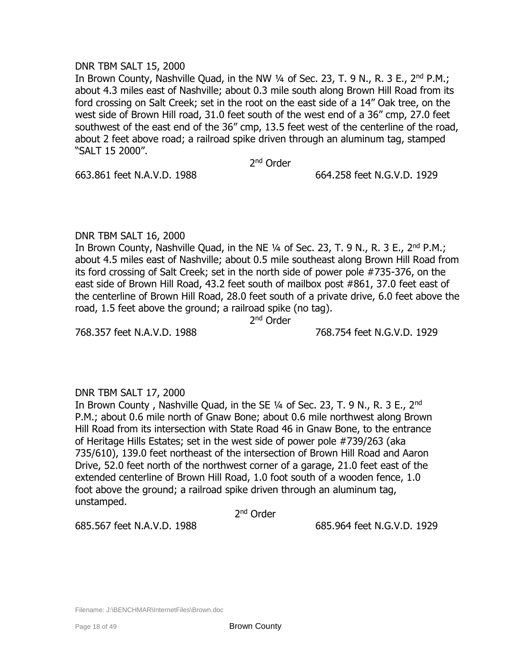## DNR TBM SALT 15, 2000

In Brown County, Nashville Quad, in the NW 1/4 of Sec. 23, T. 9 N., R. 3 E., 2<sup>nd</sup> P.M.; about 4.3 miles east of Nashville; about 0.3 mile south along Brown Hill Road from its ford crossing on Salt Creek; set in the root on the east side of a 14" Oak tree, on the west side of Brown Hill road, 31.0 feet south of the west end of a 36" cmp, 27.0 feet southwest of the east end of the 36" cmp, 13.5 feet west of the centerline of the road, about 2 feet above road; a railroad spike driven through an aluminum tag, stamped "SALT 15 2000".

2<sup>nd</sup> Order

663.861 feet N.A.V.D. 1988 664.258 feet N.G.V.D. 1929

# DNR TBM SALT 16, 2000

In Brown County, Nashville Quad, in the NE 1/4 of Sec. 23, T. 9 N., R. 3 E., 2<sup>nd</sup> P.M.; about 4.5 miles east of Nashville; about 0.5 mile southeast along Brown Hill Road from its ford crossing of Salt Creek; set in the north side of power pole #735-376, on the east side of Brown Hill Road, 43.2 feet south of mailbox post #861, 37.0 feet east of the centerline of Brown Hill Road, 28.0 feet south of a private drive, 6.0 feet above the road, 1.5 feet above the ground; a railroad spike (no tag).

2<sup>nd</sup> Order

768.357 feet N.A.V.D. 1988 768.754 feet N.G.V.D. 1929

# DNR TBM SALT 17, 2000

In Brown County, Nashville Quad, in the SE 1/4 of Sec. 23, T. 9 N., R. 3 E., 2<sup>nd</sup> P.M.; about 0.6 mile north of Gnaw Bone; about 0.6 mile northwest along Brown Hill Road from its intersection with State Road 46 in Gnaw Bone, to the entrance of Heritage Hills Estates; set in the west side of power pole #739/263 (aka 735/610), 139.0 feet northeast of the intersection of Brown Hill Road and Aaron Drive, 52.0 feet north of the northwest corner of a garage, 21.0 feet east of the extended centerline of Brown Hill Road, 1.0 foot south of a wooden fence, 1.0 foot above the ground; a railroad spike driven through an aluminum tag, unstamped.

2<sup>nd</sup> Order

685.567 feet N.A.V.D. 1988 685.964 feet N.G.V.D. 1929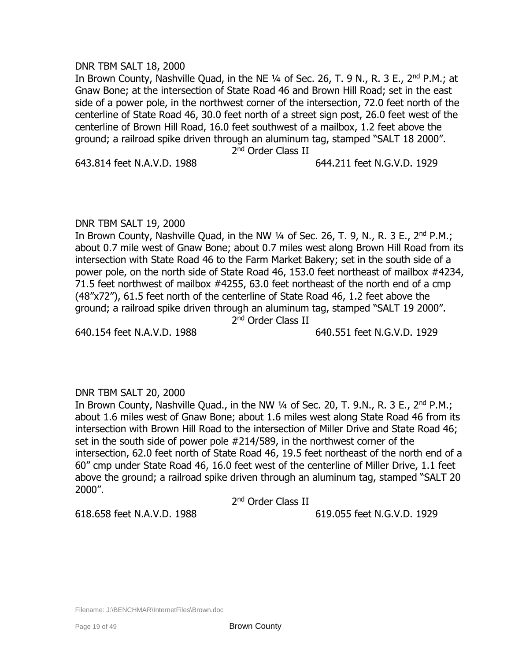DNR TBM SALT 18, 2000 In Brown County, Nashville Quad, in the NE 1/4 of Sec. 26, T. 9 N., R. 3 E., 2<sup>nd</sup> P.M.; at Gnaw Bone; at the intersection of State Road 46 and Brown Hill Road; set in the east side of a power pole, in the northwest corner of the intersection, 72.0 feet north of the centerline of State Road 46, 30.0 feet north of a street sign post, 26.0 feet west of the centerline of Brown Hill Road, 16.0 feet southwest of a mailbox, 1.2 feet above the ground; a railroad spike driven through an aluminum tag, stamped "SALT 18 2000". 2<sup>nd</sup> Order Class II

DNR TBM SALT 19, 2000

In Brown County, Nashville Quad, in the NW  $\frac{1}{4}$  of Sec. 26, T. 9, N., R. 3 E., 2<sup>nd</sup> P.M.; about 0.7 mile west of Gnaw Bone; about 0.7 miles west along Brown Hill Road from its intersection with State Road 46 to the Farm Market Bakery; set in the south side of a power pole, on the north side of State Road 46, 153.0 feet northeast of mailbox #4234, 71.5 feet northwest of mailbox #4255, 63.0 feet northeast of the north end of a cmp (48"x72"), 61.5 feet north of the centerline of State Road 46, 1.2 feet above the ground; a railroad spike driven through an aluminum tag, stamped "SALT 19 2000". 2<sup>nd</sup> Order Class II

640.154 feet N.A.V.D. 1988 640.551 feet N.G.V.D. 1929

# DNR TBM SALT 20, 2000

In Brown County, Nashville Quad., in the NW 1/4 of Sec. 20, T. 9.N., R. 3 E., 2<sup>nd</sup> P.M.; about 1.6 miles west of Gnaw Bone; about 1.6 miles west along State Road 46 from its intersection with Brown Hill Road to the intersection of Miller Drive and State Road 46; set in the south side of power pole #214/589, in the northwest corner of the intersection, 62.0 feet north of State Road 46, 19.5 feet northeast of the north end of a 60" cmp under State Road 46, 16.0 feet west of the centerline of Miller Drive, 1.1 feet above the ground; a railroad spike driven through an aluminum tag, stamped "SALT 20 2000".

2<sup>nd</sup> Order Class II

618.658 feet N.A.V.D. 1988 619.055 feet N.G.V.D. 1929

# 643.814 feet N.A.V.D. 1988 644.211 feet N.G.V.D. 1929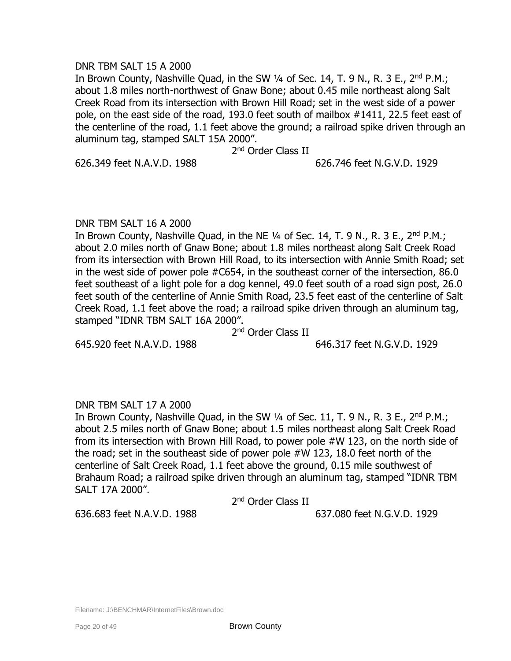## DNR TBM SALT 15 A 2000

In Brown County, Nashville Quad, in the SW 1/4 of Sec. 14, T. 9 N., R. 3 E., 2<sup>nd</sup> P.M.; about 1.8 miles north-northwest of Gnaw Bone; about 0.45 mile northeast along Salt Creek Road from its intersection with Brown Hill Road; set in the west side of a power pole, on the east side of the road, 193.0 feet south of mailbox #1411, 22.5 feet east of the centerline of the road, 1.1 feet above the ground; a railroad spike driven through an aluminum tag, stamped SALT 15A 2000".

2<sup>nd</sup> Order Class II

626.349 feet N.A.V.D. 1988 626.746 feet N.G.V.D. 1929

## DNR TBM SALT 16 A 2000

In Brown County, Nashville Quad, in the NE  $\frac{1}{4}$  of Sec. 14, T. 9 N., R. 3 E., 2<sup>nd</sup> P.M.; about 2.0 miles north of Gnaw Bone; about 1.8 miles northeast along Salt Creek Road from its intersection with Brown Hill Road, to its intersection with Annie Smith Road; set in the west side of power pole #C654, in the southeast corner of the intersection, 86.0 feet southeast of a light pole for a dog kennel, 49.0 feet south of a road sign post, 26.0 feet south of the centerline of Annie Smith Road, 23.5 feet east of the centerline of Salt Creek Road, 1.1 feet above the road; a railroad spike driven through an aluminum tag, stamped "IDNR TBM SALT 16A 2000".

2<sup>nd</sup> Order Class II

645.920 feet N.A.V.D. 1988 646.317 feet N.G.V.D. 1929

# DNR TBM SALT 17 A 2000

In Brown County, Nashville Quad, in the SW  $\frac{1}{4}$  of Sec. 11, T. 9 N., R. 3 E., 2<sup>nd</sup> P.M.; about 2.5 miles north of Gnaw Bone; about 1.5 miles northeast along Salt Creek Road from its intersection with Brown Hill Road, to power pole #W 123, on the north side of the road; set in the southeast side of power pole #W 123, 18.0 feet north of the centerline of Salt Creek Road, 1.1 feet above the ground, 0.15 mile southwest of Brahaum Road; a railroad spike driven through an aluminum tag, stamped "IDNR TBM SALT 17A 2000".

2<sup>nd</sup> Order Class II

636.683 feet N.A.V.D. 1988 637.080 feet N.G.V.D. 1929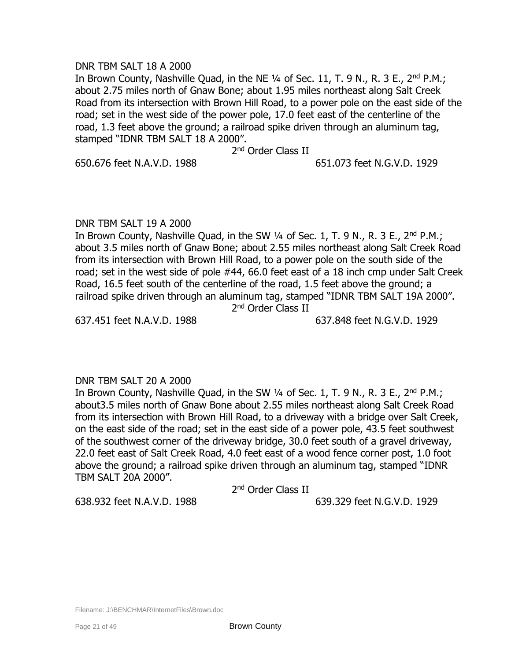## DNR TBM SALT 18 A 2000

In Brown County, Nashville Quad, in the NE 1/4 of Sec. 11, T. 9 N., R. 3 E., 2<sup>nd</sup> P.M.; about 2.75 miles north of Gnaw Bone; about 1.95 miles northeast along Salt Creek Road from its intersection with Brown Hill Road, to a power pole on the east side of the road; set in the west side of the power pole, 17.0 feet east of the centerline of the road, 1.3 feet above the ground; a railroad spike driven through an aluminum tag, stamped "IDNR TBM SALT 18 A 2000".

2<sup>nd</sup> Order Class II

650.676 feet N.A.V.D. 1988 651.073 feet N.G.V.D. 1929

## DNR TBM SALT 19 A 2000

In Brown County, Nashville Quad, in the SW  $\frac{1}{4}$  of Sec. 1, T. 9 N., R. 3 E., 2<sup>nd</sup> P.M.; about 3.5 miles north of Gnaw Bone; about 2.55 miles northeast along Salt Creek Road from its intersection with Brown Hill Road, to a power pole on the south side of the road; set in the west side of pole #44, 66.0 feet east of a 18 inch cmp under Salt Creek Road, 16.5 feet south of the centerline of the road, 1.5 feet above the ground; a railroad spike driven through an aluminum tag, stamped "IDNR TBM SALT 19A 2000". 2<sup>nd</sup> Order Class II

637.451 feet N.A.V.D. 1988 637.848 feet N.G.V.D. 1929

# DNR TBM SALT 20 A 2000

In Brown County, Nashville Quad, in the SW 1/4 of Sec. 1, T. 9 N., R. 3 E., 2<sup>nd</sup> P.M.; about3.5 miles north of Gnaw Bone about 2.55 miles northeast along Salt Creek Road from its intersection with Brown Hill Road, to a driveway with a bridge over Salt Creek, on the east side of the road; set in the east side of a power pole, 43.5 feet southwest of the southwest corner of the driveway bridge, 30.0 feet south of a gravel driveway, 22.0 feet east of Salt Creek Road, 4.0 feet east of a wood fence corner post, 1.0 foot above the ground; a railroad spike driven through an aluminum tag, stamped "IDNR TBM SALT 20A 2000".

2<sup>nd</sup> Order Class II

638.932 feet N.A.V.D. 1988 639.329 feet N.G.V.D. 1929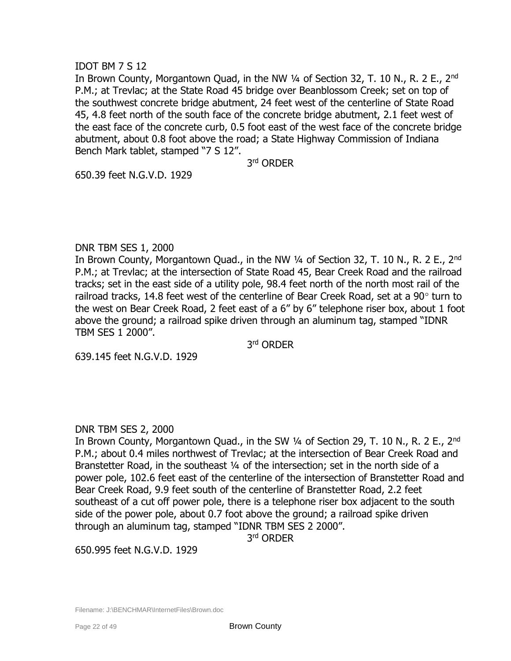# IDOT BM 7 S 12

In Brown County, Morgantown Quad, in the NW 1/4 of Section 32, T. 10 N., R. 2 E., 2<sup>nd</sup> P.M.; at Trevlac; at the State Road 45 bridge over Beanblossom Creek; set on top of the southwest concrete bridge abutment, 24 feet west of the centerline of State Road 45, 4.8 feet north of the south face of the concrete bridge abutment, 2.1 feet west of the east face of the concrete curb, 0.5 foot east of the west face of the concrete bridge abutment, about 0.8 foot above the road; a State Highway Commission of Indiana Bench Mark tablet, stamped "7 S 12".

3 rd ORDER

650.39 feet N.G.V.D. 1929

## DNR TBM SES 1, 2000

In Brown County, Morgantown Quad., in the NW 1/4 of Section 32, T. 10 N., R. 2 E., 2<sup>nd</sup> P.M.; at Trevlac; at the intersection of State Road 45, Bear Creek Road and the railroad tracks; set in the east side of a utility pole, 98.4 feet north of the north most rail of the railroad tracks, 14.8 feet west of the centerline of Bear Creek Road, set at a 90 $^{\circ}$  turn to the west on Bear Creek Road, 2 feet east of a 6" by 6" telephone riser box, about 1 foot above the ground; a railroad spike driven through an aluminum tag, stamped "IDNR TBM SES 1 2000".

3 rd ORDER

639.145 feet N.G.V.D. 1929

# DNR TBM SES 2, 2000

In Brown County, Morgantown Quad., in the SW 1/4 of Section 29, T. 10 N., R. 2 E., 2<sup>nd</sup> P.M.; about 0.4 miles northwest of Trevlac; at the intersection of Bear Creek Road and Branstetter Road, in the southeast 1/4 of the intersection; set in the north side of a power pole, 102.6 feet east of the centerline of the intersection of Branstetter Road and Bear Creek Road, 9.9 feet south of the centerline of Branstetter Road, 2.2 feet southeast of a cut off power pole, there is a telephone riser box adjacent to the south side of the power pole, about 0.7 foot above the ground; a railroad spike driven through an aluminum tag, stamped "IDNR TBM SES 2 2000".

3 rd ORDER

650.995 feet N.G.V.D. 1929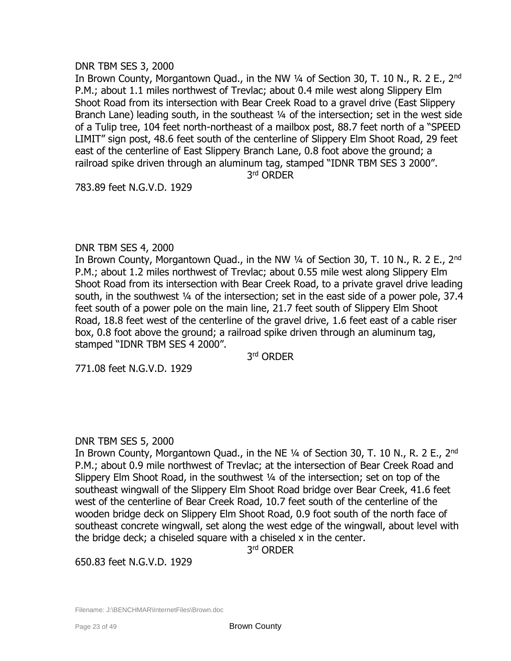## DNR TBM SES 3, 2000

In Brown County, Morgantown Ouad., in the NW  $\frac{1}{4}$  of Section 30, T, 10 N,, R, 2 E,, 2<sup>nd</sup> P.M.; about 1.1 miles northwest of Trevlac; about 0.4 mile west along Slippery Elm Shoot Road from its intersection with Bear Creek Road to a gravel drive (East Slippery Branch Lane) leading south, in the southeast 1/4 of the intersection; set in the west side of a Tulip tree, 104 feet north-northeast of a mailbox post, 88.7 feet north of a "SPEED LIMIT" sign post, 48.6 feet south of the centerline of Slippery Elm Shoot Road, 29 feet east of the centerline of East Slippery Branch Lane, 0.8 foot above the ground; a railroad spike driven through an aluminum tag, stamped "IDNR TBM SES 3 2000".

3 rd ORDER

783.89 feet N.G.V.D. 1929

## DNR TBM SES 4, 2000

In Brown County, Morgantown Quad., in the NW 1/4 of Section 30, T. 10 N., R. 2 E., 2<sup>nd</sup> P.M.; about 1.2 miles northwest of Trevlac; about 0.55 mile west along Slippery Elm Shoot Road from its intersection with Bear Creek Road, to a private gravel drive leading south, in the southwest ¼ of the intersection; set in the east side of a power pole, 37.4 feet south of a power pole on the main line, 21.7 feet south of Slippery Elm Shoot Road, 18.8 feet west of the centerline of the gravel drive, 1.6 feet east of a cable riser box, 0.8 foot above the ground; a railroad spike driven through an aluminum tag, stamped "IDNR TBM SES 4 2000".

3 rd ORDER

771.08 feet N.G.V.D. 1929

# DNR TBM SES 5, 2000

In Brown County, Morgantown Quad., in the NE  $\frac{1}{4}$  of Section 30, T. 10 N., R. 2 E., 2<sup>nd</sup> P.M.; about 0.9 mile northwest of Trevlac; at the intersection of Bear Creek Road and Slippery Elm Shoot Road, in the southwest ¼ of the intersection; set on top of the southeast wingwall of the Slippery Elm Shoot Road bridge over Bear Creek, 41.6 feet west of the centerline of Bear Creek Road, 10.7 feet south of the centerline of the wooden bridge deck on Slippery Elm Shoot Road, 0.9 foot south of the north face of southeast concrete wingwall, set along the west edge of the wingwall, about level with the bridge deck; a chiseled square with a chiseled x in the center.

3 rd ORDER

650.83 feet N.G.V.D. 1929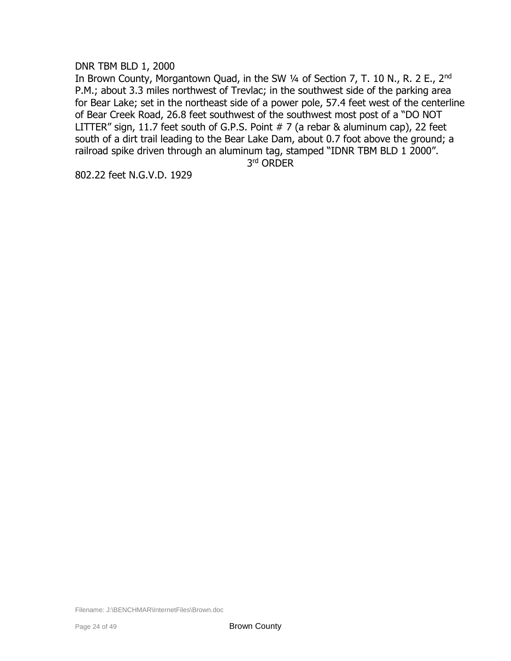## DNR TBM BLD 1, 2000

In Brown County, Morgantown Quad, in the SW 1/4 of Section 7, T. 10 N., R. 2 E., 2<sup>nd</sup> P.M.; about 3.3 miles northwest of Trevlac; in the southwest side of the parking area for Bear Lake; set in the northeast side of a power pole, 57.4 feet west of the centerline of Bear Creek Road, 26.8 feet southwest of the southwest most post of a "DO NOT LITTER" sign, 11.7 feet south of G.P.S. Point # 7 (a rebar & aluminum cap), 22 feet south of a dirt trail leading to the Bear Lake Dam, about 0.7 foot above the ground; a railroad spike driven through an aluminum tag, stamped "IDNR TBM BLD 1 2000".

3 rd ORDER

802.22 feet N.G.V.D. 1929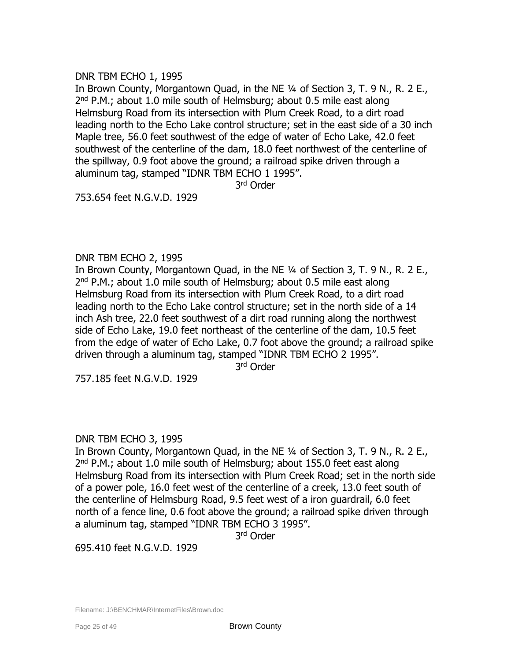# DNR TBM ECHO 1, 1995

In Brown County, Morgantown Quad, in the NE ¼ of Section 3, T. 9 N., R. 2 E., 2<sup>nd</sup> P.M.; about 1.0 mile south of Helmsburg; about 0.5 mile east along Helmsburg Road from its intersection with Plum Creek Road, to a dirt road leading north to the Echo Lake control structure; set in the east side of a 30 inch Maple tree, 56.0 feet southwest of the edge of water of Echo Lake, 42.0 feet southwest of the centerline of the dam, 18.0 feet northwest of the centerline of the spillway, 0.9 foot above the ground; a railroad spike driven through a aluminum tag, stamped "IDNR TBM ECHO 1 1995".

3 rd Order

753.654 feet N.G.V.D. 1929

# DNR TBM ECHO 2, 1995

In Brown County, Morgantown Quad, in the NE ¼ of Section 3, T. 9 N., R. 2 E., 2<sup>nd</sup> P.M.; about 1.0 mile south of Helmsburg; about 0.5 mile east along Helmsburg Road from its intersection with Plum Creek Road, to a dirt road leading north to the Echo Lake control structure; set in the north side of a 14 inch Ash tree, 22.0 feet southwest of a dirt road running along the northwest side of Echo Lake, 19.0 feet northeast of the centerline of the dam, 10.5 feet from the edge of water of Echo Lake, 0.7 foot above the ground; a railroad spike driven through a aluminum tag, stamped "IDNR TBM ECHO 2 1995".

3 rd Order

757.185 feet N.G.V.D. 1929

# DNR TBM ECHO 3, 1995

In Brown County, Morgantown Quad, in the NE ¼ of Section 3, T. 9 N., R. 2 E., 2<sup>nd</sup> P.M.; about 1.0 mile south of Helmsburg; about 155.0 feet east along Helmsburg Road from its intersection with Plum Creek Road; set in the north side of a power pole, 16.0 feet west of the centerline of a creek, 13.0 feet south of the centerline of Helmsburg Road, 9.5 feet west of a iron guardrail, 6.0 feet north of a fence line, 0.6 foot above the ground; a railroad spike driven through a aluminum tag, stamped "IDNR TBM ECHO 3 1995".

3 rd Order

695.410 feet N.G.V.D. 1929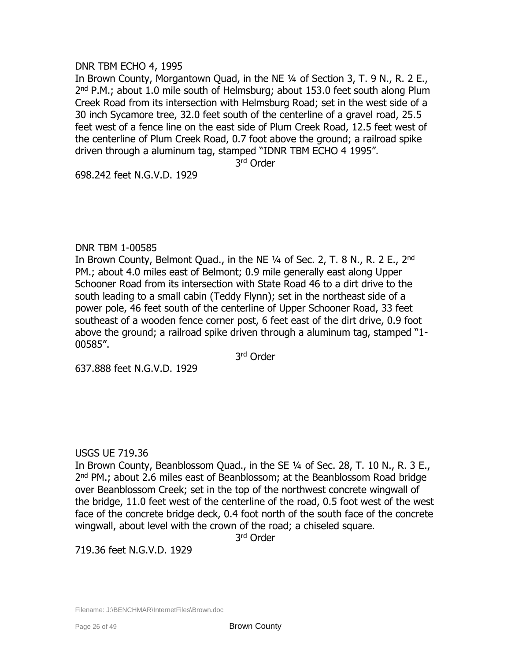# DNR TBM ECHO 4, 1995

In Brown County, Morgantown Quad, in the NE ¼ of Section 3, T. 9 N., R. 2 E., 2<sup>nd</sup> P.M.; about 1.0 mile south of Helmsburg; about 153.0 feet south along Plum Creek Road from its intersection with Helmsburg Road; set in the west side of a 30 inch Sycamore tree, 32.0 feet south of the centerline of a gravel road, 25.5 feet west of a fence line on the east side of Plum Creek Road, 12.5 feet west of the centerline of Plum Creek Road, 0.7 foot above the ground; a railroad spike driven through a aluminum tag, stamped "IDNR TBM ECHO 4 1995".

3 rd Order

698.242 feet N.G.V.D. 1929

#### DNR TBM 1-00585

In Brown County, Belmont Quad., in the NE  $\frac{1}{4}$  of Sec. 2, T. 8 N., R. 2 E., 2<sup>nd</sup> PM.; about 4.0 miles east of Belmont; 0.9 mile generally east along Upper Schooner Road from its intersection with State Road 46 to a dirt drive to the south leading to a small cabin (Teddy Flynn); set in the northeast side of a power pole, 46 feet south of the centerline of Upper Schooner Road, 33 feet southeast of a wooden fence corner post, 6 feet east of the dirt drive, 0.9 foot above the ground; a railroad spike driven through a aluminum tag, stamped "1- 00585".

3 rd Order

637.888 feet N.G.V.D. 1929

# USGS UE 719.36

In Brown County, Beanblossom Quad., in the SE ¼ of Sec. 28, T. 10 N., R. 3 E., 2<sup>nd</sup> PM.; about 2.6 miles east of Beanblossom; at the Beanblossom Road bridge over Beanblossom Creek; set in the top of the northwest concrete wingwall of the bridge, 11.0 feet west of the centerline of the road, 0.5 foot west of the west face of the concrete bridge deck, 0.4 foot north of the south face of the concrete wingwall, about level with the crown of the road; a chiseled square.

3 rd Order

719.36 feet N.G.V.D. 1929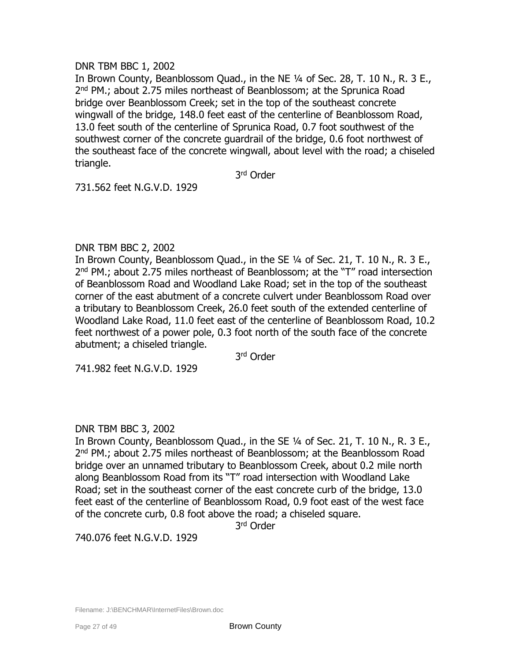# DNR TBM BBC 1, 2002

In Brown County, Beanblossom Quad., in the NE ¼ of Sec. 28, T. 10 N., R. 3 E., 2<sup>nd</sup> PM.; about 2.75 miles northeast of Beanblossom; at the Sprunica Road bridge over Beanblossom Creek; set in the top of the southeast concrete wingwall of the bridge, 148.0 feet east of the centerline of Beanblossom Road, 13.0 feet south of the centerline of Sprunica Road, 0.7 foot southwest of the southwest corner of the concrete guardrail of the bridge, 0.6 foot northwest of the southeast face of the concrete wingwall, about level with the road; a chiseled triangle.

3 rd Order

731.562 feet N.G.V.D. 1929

# DNR TBM BBC 2, 2002

In Brown County, Beanblossom Quad., in the SE ¼ of Sec. 21, T. 10 N., R. 3 E., 2<sup>nd</sup> PM.; about 2.75 miles northeast of Beanblossom; at the "T" road intersection of Beanblossom Road and Woodland Lake Road; set in the top of the southeast corner of the east abutment of a concrete culvert under Beanblossom Road over a tributary to Beanblossom Creek, 26.0 feet south of the extended centerline of Woodland Lake Road, 11.0 feet east of the centerline of Beanblossom Road, 10.2 feet northwest of a power pole, 0.3 foot north of the south face of the concrete abutment; a chiseled triangle.

3 rd Order

741.982 feet N.G.V.D. 1929

# DNR TBM BBC 3, 2002

In Brown County, Beanblossom Quad., in the SE ¼ of Sec. 21, T. 10 N., R. 3 E., 2<sup>nd</sup> PM.; about 2.75 miles northeast of Beanblossom; at the Beanblossom Road bridge over an unnamed tributary to Beanblossom Creek, about 0.2 mile north along Beanblossom Road from its "T" road intersection with Woodland Lake Road; set in the southeast corner of the east concrete curb of the bridge, 13.0 feet east of the centerline of Beanblossom Road, 0.9 foot east of the west face of the concrete curb, 0.8 foot above the road; a chiseled square.

3 rd Order

740.076 feet N.G.V.D. 1929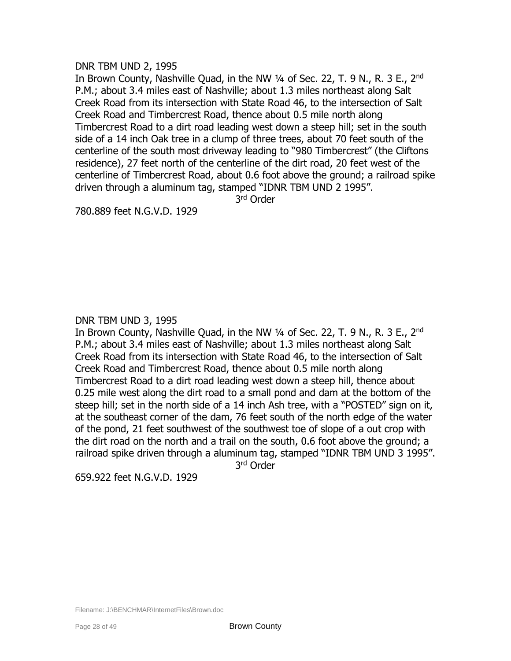### DNR TBM UND 2, 1995

In Brown County, Nashville Quad, in the NW 1/4 of Sec. 22, T. 9 N., R. 3 E., 2<sup>nd</sup> P.M.; about 3.4 miles east of Nashville; about 1.3 miles northeast along Salt Creek Road from its intersection with State Road 46, to the intersection of Salt Creek Road and Timbercrest Road, thence about 0.5 mile north along Timbercrest Road to a dirt road leading west down a steep hill; set in the south side of a 14 inch Oak tree in a clump of three trees, about 70 feet south of the centerline of the south most driveway leading to "980 Timbercrest" (the Cliftons residence), 27 feet north of the centerline of the dirt road, 20 feet west of the centerline of Timbercrest Road, about 0.6 foot above the ground; a railroad spike driven through a aluminum tag, stamped "IDNR TBM UND 2 1995".

3 rd Order

780.889 feet N.G.V.D. 1929

DNR TBM UND 3, 1995

In Brown County, Nashville Quad, in the NW 1/4 of Sec. 22, T. 9 N., R. 3 E., 2<sup>nd</sup> P.M.; about 3.4 miles east of Nashville; about 1.3 miles northeast along Salt Creek Road from its intersection with State Road 46, to the intersection of Salt Creek Road and Timbercrest Road, thence about 0.5 mile north along Timbercrest Road to a dirt road leading west down a steep hill, thence about 0.25 mile west along the dirt road to a small pond and dam at the bottom of the steep hill; set in the north side of a 14 inch Ash tree, with a "POSTED" sign on it, at the southeast corner of the dam, 76 feet south of the north edge of the water of the pond, 21 feet southwest of the southwest toe of slope of a out crop with the dirt road on the north and a trail on the south, 0.6 foot above the ground; a railroad spike driven through a aluminum tag, stamped "IDNR TBM UND 3 1995".

3 rd Order

659.922 feet N.G.V.D. 1929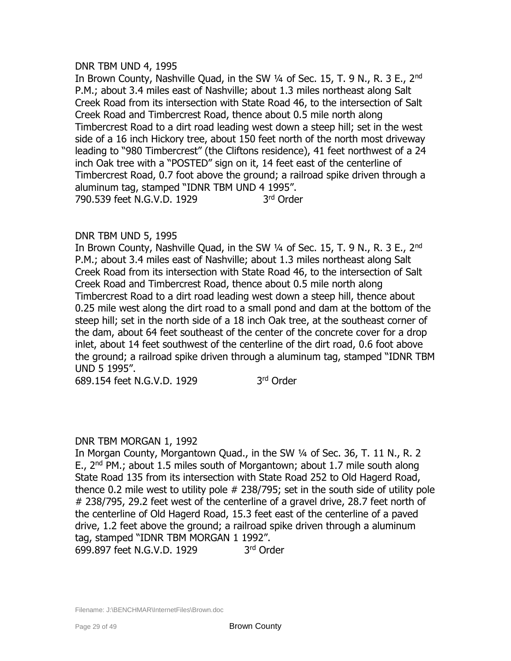## DNR TBM UND 4, 1995

In Brown County, Nashville Quad, in the SW 1/4 of Sec. 15, T. 9 N., R. 3 E., 2<sup>nd</sup> P.M.; about 3.4 miles east of Nashville; about 1.3 miles northeast along Salt Creek Road from its intersection with State Road 46, to the intersection of Salt Creek Road and Timbercrest Road, thence about 0.5 mile north along Timbercrest Road to a dirt road leading west down a steep hill; set in the west side of a 16 inch Hickory tree, about 150 feet north of the north most driveway leading to "980 Timbercrest" (the Cliftons residence), 41 feet northwest of a 24 inch Oak tree with a "POSTED" sign on it, 14 feet east of the centerline of Timbercrest Road, 0.7 foot above the ground; a railroad spike driven through a aluminum tag, stamped "IDNR TBM UND 4 1995". 790.539 feet N.G.V.D. 1929 3rd Order

# DNR TBM UND 5, 1995

In Brown County, Nashville Quad, in the SW 1/4 of Sec. 15, T. 9 N., R. 3 E., 2<sup>nd</sup> P.M.; about 3.4 miles east of Nashville; about 1.3 miles northeast along Salt Creek Road from its intersection with State Road 46, to the intersection of Salt Creek Road and Timbercrest Road, thence about 0.5 mile north along Timbercrest Road to a dirt road leading west down a steep hill, thence about 0.25 mile west along the dirt road to a small pond and dam at the bottom of the steep hill; set in the north side of a 18 inch Oak tree, at the southeast corner of the dam, about 64 feet southeast of the center of the concrete cover for a drop inlet, about 14 feet southwest of the centerline of the dirt road, 0.6 foot above the ground; a railroad spike driven through a aluminum tag, stamped "IDNR TBM UND 5 1995".

689.154 feet N.G.V.D. 1929 3

3rd Order

# DNR TBM MORGAN 1, 1992

In Morgan County, Morgantown Quad., in the SW ¼ of Sec. 36, T. 11 N., R. 2 E., 2nd PM.; about 1.5 miles south of Morgantown; about 1.7 mile south along State Road 135 from its intersection with State Road 252 to Old Hagerd Road, thence 0.2 mile west to utility pole # 238/795; set in the south side of utility pole # 238/795, 29.2 feet west of the centerline of a gravel drive, 28.7 feet north of the centerline of Old Hagerd Road, 15.3 feet east of the centerline of a paved drive, 1.2 feet above the ground; a railroad spike driven through a aluminum tag, stamped "IDNR TBM MORGAN 1 1992". 699.897 feet N.G.V.D. 1929 3 3<sup>rd</sup> Order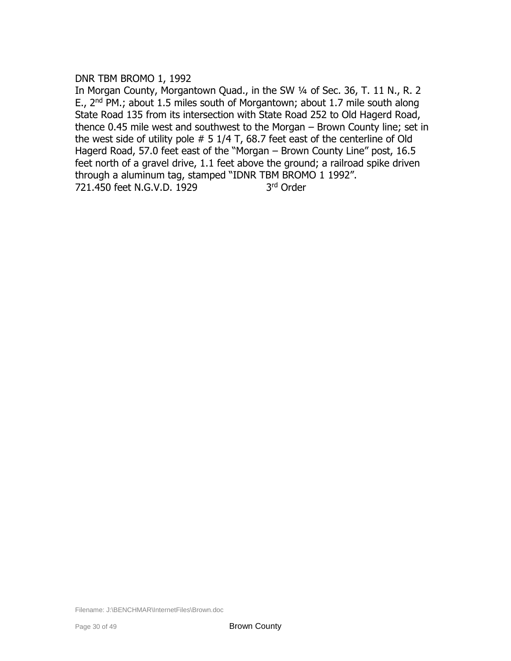# DNR TBM BROMO 1, 1992

In Morgan County, Morgantown Quad., in the SW 1/4 of Sec. 36, T. 11 N., R. 2 E.,  $2^{nd}$  PM.; about 1.5 miles south of Morgantown; about 1.7 mile south along State Road 135 from its intersection with State Road 252 to Old Hagerd Road, thence 0.45 mile west and southwest to the Morgan – Brown County line; set in the west side of utility pole  $# 5 1/4 T$ , 68.7 feet east of the centerline of Old Hagerd Road, 57.0 feet east of the "Morgan – Brown County Line" post, 16.5 feet north of a gravel drive, 1.1 feet above the ground; a railroad spike driven through a aluminum tag, stamped "IDNR TBM BROMO 1 1992". 721.450 feet N.G.V.D. 1929 3rd Order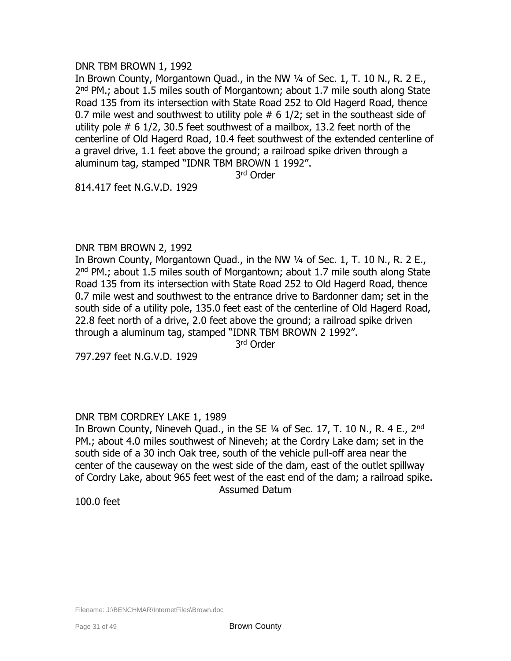# DNR TBM BROWN 1, 1992

In Brown County, Morgantown Quad., in the NW 1/4 of Sec. 1, T. 10 N., R. 2 E., 2<sup>nd</sup> PM.; about 1.5 miles south of Morgantown; about 1.7 mile south along State Road 135 from its intersection with State Road 252 to Old Hagerd Road, thence 0.7 mile west and southwest to utility pole  $# 6 1/2$ ; set in the southeast side of utility pole # 6 1/2, 30.5 feet southwest of a mailbox, 13.2 feet north of the centerline of Old Hagerd Road, 10.4 feet southwest of the extended centerline of a gravel drive, 1.1 feet above the ground; a railroad spike driven through a aluminum tag, stamped "IDNR TBM BROWN 1 1992".

3 rd Order

814.417 feet N.G.V.D. 1929

## DNR TBM BROWN 2, 1992

In Brown County, Morgantown Quad., in the NW 1/4 of Sec. 1, T. 10 N., R. 2 E., 2<sup>nd</sup> PM.; about 1.5 miles south of Morgantown; about 1.7 mile south along State Road 135 from its intersection with State Road 252 to Old Hagerd Road, thence 0.7 mile west and southwest to the entrance drive to Bardonner dam; set in the south side of a utility pole, 135.0 feet east of the centerline of Old Hagerd Road, 22.8 feet north of a drive, 2.0 feet above the ground; a railroad spike driven through a aluminum tag, stamped "IDNR TBM BROWN 2 1992".

3 rd Order

797.297 feet N.G.V.D. 1929

# DNR TBM CORDREY LAKE 1, 1989

In Brown County, Nineveh Quad., in the SE  $\frac{1}{4}$  of Sec. 17, T. 10 N., R. 4 E., 2<sup>nd</sup> PM.; about 4.0 miles southwest of Nineveh; at the Cordry Lake dam; set in the south side of a 30 inch Oak tree, south of the vehicle pull-off area near the center of the causeway on the west side of the dam, east of the outlet spillway of Cordry Lake, about 965 feet west of the east end of the dam; a railroad spike. Assumed Datum

100.0 feet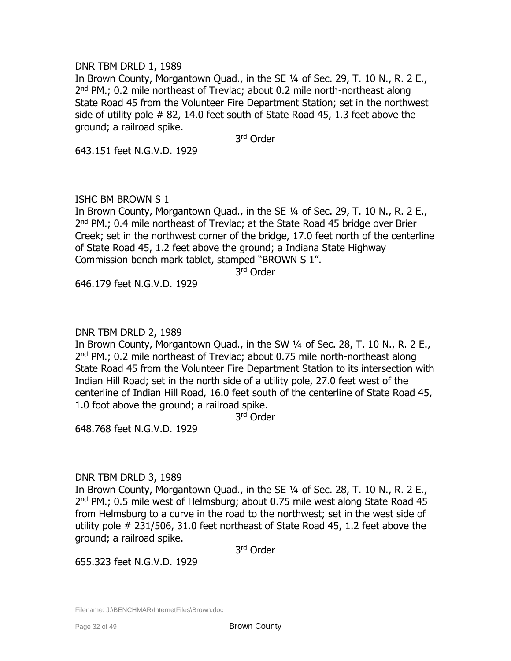## DNR TBM DRLD 1, 1989

In Brown County, Morgantown Quad., in the SE ¼ of Sec. 29, T. 10 N., R. 2 E., 2<sup>nd</sup> PM.; 0.2 mile northeast of Trevlac; about 0.2 mile north-northeast along State Road 45 from the Volunteer Fire Department Station; set in the northwest side of utility pole # 82, 14.0 feet south of State Road 45, 1.3 feet above the ground; a railroad spike.

3 rd Order

643.151 feet N.G.V.D. 1929

# ISHC BM BROWN S 1

In Brown County, Morgantown Quad., in the SE ¼ of Sec. 29, T. 10 N., R. 2 E., 2<sup>nd</sup> PM.; 0.4 mile northeast of Trevlac; at the State Road 45 bridge over Brier Creek; set in the northwest corner of the bridge, 17.0 feet north of the centerline of State Road 45, 1.2 feet above the ground; a Indiana State Highway Commission bench mark tablet, stamped "BROWN S 1".

3 rd Order

646.179 feet N.G.V.D. 1929

## DNR TBM DRLD 2, 1989

In Brown County, Morgantown Quad., in the SW ¼ of Sec. 28, T. 10 N., R. 2 E., 2<sup>nd</sup> PM.; 0.2 mile northeast of Trevlac; about 0.75 mile north-northeast along State Road 45 from the Volunteer Fire Department Station to its intersection with Indian Hill Road; set in the north side of a utility pole, 27.0 feet west of the centerline of Indian Hill Road, 16.0 feet south of the centerline of State Road 45, 1.0 foot above the ground; a railroad spike.

3 rd Order

648.768 feet N.G.V.D. 1929

# DNR TBM DRLD 3, 1989

In Brown County, Morgantown Quad., in the SE ¼ of Sec. 28, T. 10 N., R. 2 E., 2<sup>nd</sup> PM.; 0.5 mile west of Helmsburg; about 0.75 mile west along State Road 45 from Helmsburg to a curve in the road to the northwest; set in the west side of utility pole # 231/506, 31.0 feet northeast of State Road 45, 1.2 feet above the ground; a railroad spike.

3 rd Order

655.323 feet N.G.V.D. 1929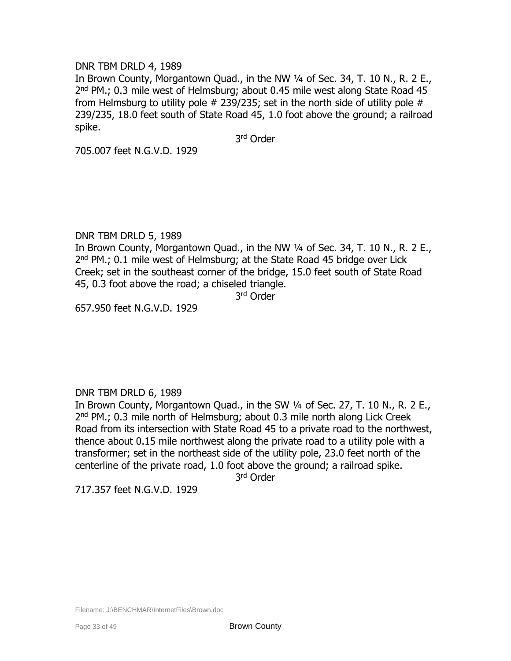# DNR TBM DRLD 4, 1989

In Brown County, Morgantown Quad., in the NW 1/4 of Sec. 34, T. 10 N., R. 2 E., 2<sup>nd</sup> PM.; 0.3 mile west of Helmsburg; about 0.45 mile west along State Road 45 from Helmsburg to utility pole  $#$  239/235; set in the north side of utility pole  $#$ 239/235, 18.0 feet south of State Road 45, 1.0 foot above the ground; a railroad spike.

3 rd Order

705.007 feet N.G.V.D. 1929

# DNR TBM DRLD 5, 1989

In Brown County, Morgantown Quad., in the NW 1/4 of Sec. 34, T. 10 N., R. 2 E., 2<sup>nd</sup> PM.; 0.1 mile west of Helmsburg; at the State Road 45 bridge over Lick Creek; set in the southeast corner of the bridge, 15.0 feet south of State Road 45, 0.3 foot above the road; a chiseled triangle.

3 rd Order

657.950 feet N.G.V.D. 1929

# DNR TBM DRLD 6, 1989

In Brown County, Morgantown Quad., in the SW 1/4 of Sec. 27, T. 10 N., R. 2 E., 2<sup>nd</sup> PM.; 0.3 mile north of Helmsburg; about 0.3 mile north along Lick Creek Road from its intersection with State Road 45 to a private road to the northwest, thence about 0.15 mile northwest along the private road to a utility pole with a transformer; set in the northeast side of the utility pole, 23.0 feet north of the centerline of the private road, 1.0 foot above the ground; a railroad spike.

3 rd Order

717.357 feet N.G.V.D. 1929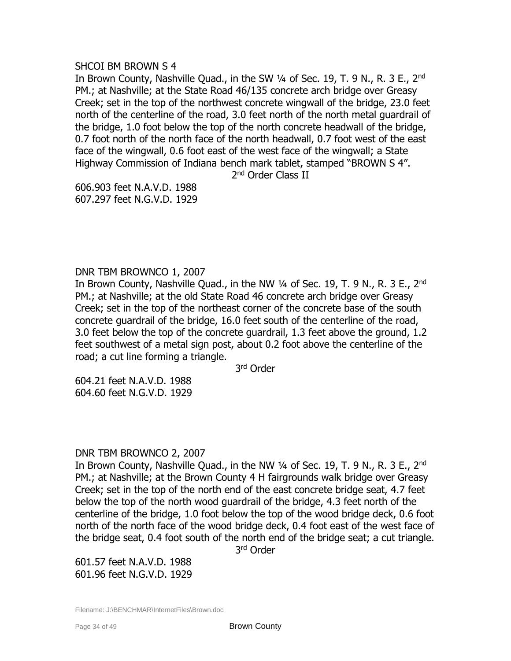#### SHCOI BM BROWN S 4

In Brown County, Nashville Quad., in the SW 1/4 of Sec. 19, T. 9 N., R. 3 E., 2<sup>nd</sup> PM.; at Nashville; at the State Road 46/135 concrete arch bridge over Greasy Creek; set in the top of the northwest concrete wingwall of the bridge, 23.0 feet north of the centerline of the road, 3.0 feet north of the north metal guardrail of the bridge, 1.0 foot below the top of the north concrete headwall of the bridge, 0.7 foot north of the north face of the north headwall, 0.7 foot west of the east face of the wingwall, 0.6 foot east of the west face of the wingwall; a State Highway Commission of Indiana bench mark tablet, stamped "BROWN S 4".

2<sup>nd</sup> Order Class II

606.903 feet N.A.V.D. 1988 607.297 feet N.G.V.D. 1929

# DNR TBM BROWNCO 1, 2007

In Brown County, Nashville Quad., in the NW 1/4 of Sec. 19, T. 9 N., R. 3 E., 2<sup>nd</sup> PM.; at Nashville; at the old State Road 46 concrete arch bridge over Greasy Creek; set in the top of the northeast corner of the concrete base of the south concrete guardrail of the bridge, 16.0 feet south of the centerline of the road, 3.0 feet below the top of the concrete guardrail, 1.3 feet above the ground, 1.2 feet southwest of a metal sign post, about 0.2 foot above the centerline of the road; a cut line forming a triangle.

3 rd Order

604.21 feet N.A.V.D. 1988 604.60 feet N.G.V.D. 1929

# DNR TBM BROWNCO 2, 2007

In Brown County, Nashville Quad., in the NW 1/4 of Sec. 19, T. 9 N., R. 3 E., 2<sup>nd</sup> PM.; at Nashville; at the Brown County 4 H fairgrounds walk bridge over Greasy Creek; set in the top of the north end of the east concrete bridge seat, 4.7 feet below the top of the north wood guardrail of the bridge, 4.3 feet north of the centerline of the bridge, 1.0 foot below the top of the wood bridge deck, 0.6 foot north of the north face of the wood bridge deck, 0.4 foot east of the west face of the bridge seat, 0.4 foot south of the north end of the bridge seat; a cut triangle.

3 rd Order

601.57 feet N.A.V.D. 1988 601.96 feet N.G.V.D. 1929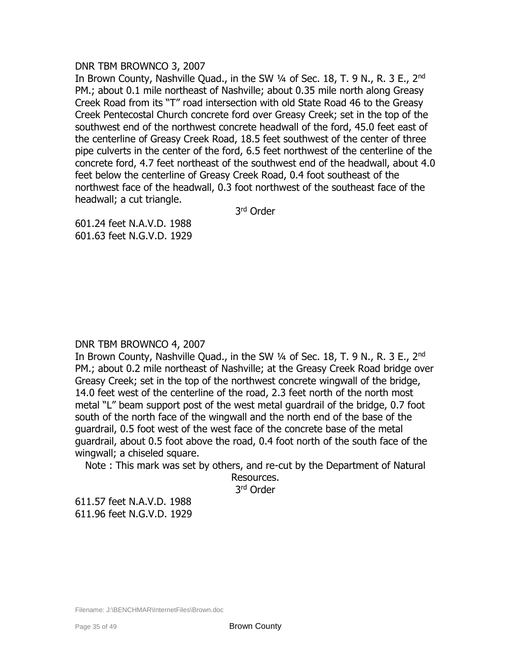## DNR TBM BROWNCO 3, 2007

In Brown County, Nashville Quad., in the SW 1/4 of Sec. 18, T. 9 N., R. 3 E., 2<sup>nd</sup> PM.; about 0.1 mile northeast of Nashville; about 0.35 mile north along Greasy Creek Road from its "T" road intersection with old State Road 46 to the Greasy Creek Pentecostal Church concrete ford over Greasy Creek; set in the top of the southwest end of the northwest concrete headwall of the ford, 45.0 feet east of the centerline of Greasy Creek Road, 18.5 feet southwest of the center of three pipe culverts in the center of the ford, 6.5 feet northwest of the centerline of the concrete ford, 4.7 feet northeast of the southwest end of the headwall, about 4.0 feet below the centerline of Greasy Creek Road, 0.4 foot southeast of the northwest face of the headwall, 0.3 foot northwest of the southeast face of the headwall; a cut triangle.

3 rd Order

601.24 feet N.A.V.D. 1988 601.63 feet N.G.V.D. 1929

# DNR TBM BROWNCO 4, 2007

In Brown County, Nashville Quad., in the SW 1/4 of Sec. 18, T. 9 N., R. 3 E., 2<sup>nd</sup> PM.; about 0.2 mile northeast of Nashville; at the Greasy Creek Road bridge over Greasy Creek; set in the top of the northwest concrete wingwall of the bridge, 14.0 feet west of the centerline of the road, 2.3 feet north of the north most metal "L" beam support post of the west metal guardrail of the bridge, 0.7 foot south of the north face of the wingwall and the north end of the base of the guardrail, 0.5 foot west of the west face of the concrete base of the metal guardrail, about 0.5 foot above the road, 0.4 foot north of the south face of the wingwall; a chiseled square.

Note : This mark was set by others, and re-cut by the Department of Natural

Resources. 3 rd Order

611.57 feet N.A.V.D. 1988 611.96 feet N.G.V.D. 1929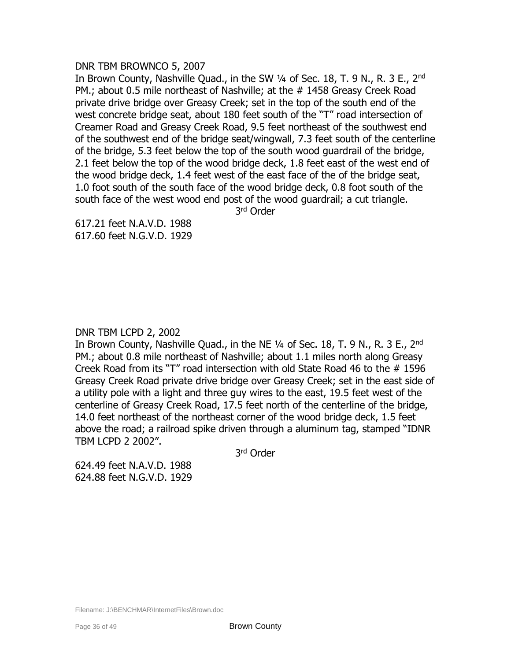## DNR TBM BROWNCO 5, 2007

In Brown County, Nashville Quad., in the SW 1/4 of Sec. 18, T. 9 N., R. 3 E., 2<sup>nd</sup> PM.; about 0.5 mile northeast of Nashville; at the # 1458 Greasy Creek Road private drive bridge over Greasy Creek; set in the top of the south end of the west concrete bridge seat, about 180 feet south of the "T" road intersection of Creamer Road and Greasy Creek Road, 9.5 feet northeast of the southwest end of the southwest end of the bridge seat/wingwall, 7.3 feet south of the centerline of the bridge, 5.3 feet below the top of the south wood guardrail of the bridge, 2.1 feet below the top of the wood bridge deck, 1.8 feet east of the west end of the wood bridge deck, 1.4 feet west of the east face of the of the bridge seat, 1.0 foot south of the south face of the wood bridge deck, 0.8 foot south of the south face of the west wood end post of the wood guardrail; a cut triangle.

3 rd Order

617.21 feet N.A.V.D. 1988 617.60 feet N.G.V.D. 1929

## DNR TBM LCPD 2, 2002

In Brown County, Nashville Quad., in the NE 1/4 of Sec. 18, T. 9 N., R. 3 E., 2<sup>nd</sup> PM.; about 0.8 mile northeast of Nashville; about 1.1 miles north along Greasy Creek Road from its "T" road intersection with old State Road 46 to the # 1596 Greasy Creek Road private drive bridge over Greasy Creek; set in the east side of a utility pole with a light and three guy wires to the east, 19.5 feet west of the centerline of Greasy Creek Road, 17.5 feet north of the centerline of the bridge, 14.0 feet northeast of the northeast corner of the wood bridge deck, 1.5 feet above the road; a railroad spike driven through a aluminum tag, stamped "IDNR TBM LCPD 2 2002".

3 rd Order

624.49 feet N.A.V.D. 1988 624.88 feet N.G.V.D. 1929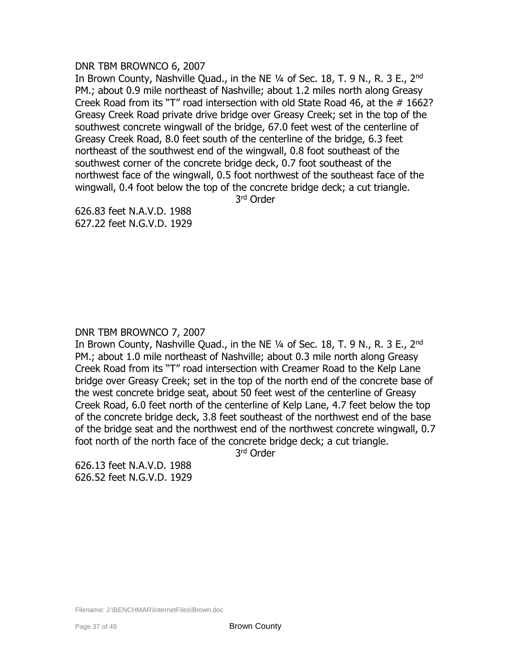## DNR TBM BROWNCO 6, 2007

In Brown County, Nashville Quad., in the NE 1/4 of Sec. 18, T. 9 N., R. 3 E., 2<sup>nd</sup> PM.; about 0.9 mile northeast of Nashville; about 1.2 miles north along Greasy Creek Road from its "T" road intersection with old State Road 46, at the # 1662? Greasy Creek Road private drive bridge over Greasy Creek; set in the top of the southwest concrete wingwall of the bridge, 67.0 feet west of the centerline of Greasy Creek Road, 8.0 feet south of the centerline of the bridge, 6.3 feet northeast of the southwest end of the wingwall, 0.8 foot southeast of the southwest corner of the concrete bridge deck, 0.7 foot southeast of the northwest face of the wingwall, 0.5 foot northwest of the southeast face of the wingwall, 0.4 foot below the top of the concrete bridge deck; a cut triangle.

3 rd Order

626.83 feet N.A.V.D. 1988 627.22 feet N.G.V.D. 1929

# DNR TBM BROWNCO 7, 2007

In Brown County, Nashville Quad., in the NE 1/4 of Sec. 18, T. 9 N., R. 3 E., 2<sup>nd</sup> PM.; about 1.0 mile northeast of Nashville; about 0.3 mile north along Greasy Creek Road from its "T" road intersection with Creamer Road to the Kelp Lane bridge over Greasy Creek; set in the top of the north end of the concrete base of the west concrete bridge seat, about 50 feet west of the centerline of Greasy Creek Road, 6.0 feet north of the centerline of Kelp Lane, 4.7 feet below the top of the concrete bridge deck, 3.8 feet southeast of the northwest end of the base of the bridge seat and the northwest end of the northwest concrete wingwall, 0.7 foot north of the north face of the concrete bridge deck; a cut triangle.

3 rd Order

626.13 feet N.A.V.D. 1988 626.52 feet N.G.V.D. 1929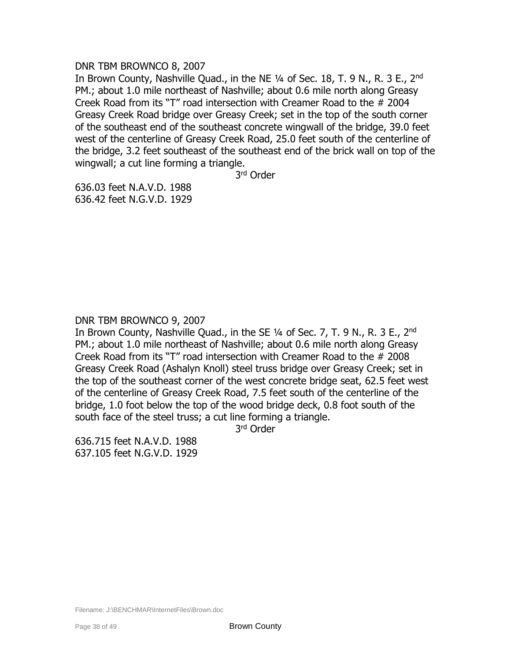## DNR TBM BROWNCO 8, 2007

In Brown County, Nashville Quad., in the NE 1/4 of Sec. 18, T. 9 N., R. 3 E., 2<sup>nd</sup> PM.; about 1.0 mile northeast of Nashville; about 0.6 mile north along Greasy Creek Road from its "T" road intersection with Creamer Road to the # 2004 Greasy Creek Road bridge over Greasy Creek; set in the top of the south corner of the southeast end of the southeast concrete wingwall of the bridge, 39.0 feet west of the centerline of Greasy Creek Road, 25.0 feet south of the centerline of the bridge, 3.2 feet southeast of the southeast end of the brick wall on top of the wingwall; a cut line forming a triangle.

3 rd Order

636.03 feet N.A.V.D. 1988 636.42 feet N.G.V.D. 1929

# DNR TBM BROWNCO 9, 2007

In Brown County, Nashville Quad., in the SE 1/4 of Sec. 7, T. 9 N., R. 3 E., 2<sup>nd</sup> PM.; about 1.0 mile northeast of Nashville; about 0.6 mile north along Greasy Creek Road from its "T" road intersection with Creamer Road to the # 2008 Greasy Creek Road (Ashalyn Knoll) steel truss bridge over Greasy Creek; set in the top of the southeast corner of the west concrete bridge seat, 62.5 feet west of the centerline of Greasy Creek Road, 7.5 feet south of the centerline of the bridge, 1.0 foot below the top of the wood bridge deck, 0.8 foot south of the south face of the steel truss; a cut line forming a triangle.

3 rd Order

636.715 feet N.A.V.D. 1988 637.105 feet N.G.V.D. 1929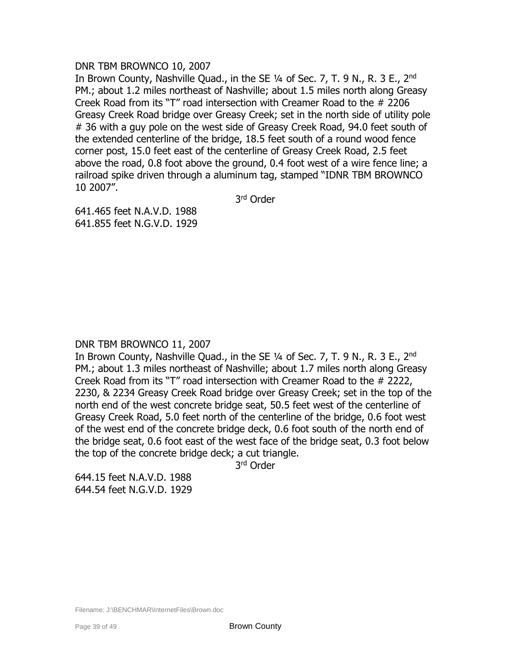## DNR TBM BROWNCO 10, 2007

In Brown County, Nashville Quad., in the SE 1/4 of Sec. 7, T. 9 N., R. 3 E., 2<sup>nd</sup> PM.; about 1.2 miles northeast of Nashville; about 1.5 miles north along Greasy Creek Road from its "T" road intersection with Creamer Road to the # 2206 Greasy Creek Road bridge over Greasy Creek; set in the north side of utility pole # 36 with a guy pole on the west side of Greasy Creek Road, 94.0 feet south of the extended centerline of the bridge, 18.5 feet south of a round wood fence corner post, 15.0 feet east of the centerline of Greasy Creek Road, 2.5 feet above the road, 0.8 foot above the ground, 0.4 foot west of a wire fence line; a railroad spike driven through a aluminum tag, stamped "IDNR TBM BROWNCO 10 2007".

3 rd Order

641.465 feet N.A.V.D. 1988 641.855 feet N.G.V.D. 1929

# DNR TBM BROWNCO 11, 2007

In Brown County, Nashville Quad., in the SE 1/4 of Sec. 7, T. 9 N., R. 3 E., 2<sup>nd</sup> PM.; about 1.3 miles northeast of Nashville; about 1.7 miles north along Greasy Creek Road from its "T" road intersection with Creamer Road to the # 2222, 2230, & 2234 Greasy Creek Road bridge over Greasy Creek; set in the top of the north end of the west concrete bridge seat, 50.5 feet west of the centerline of Greasy Creek Road, 5.0 feet north of the centerline of the bridge, 0.6 foot west of the west end of the concrete bridge deck, 0.6 foot south of the north end of the bridge seat, 0.6 foot east of the west face of the bridge seat, 0.3 foot below the top of the concrete bridge deck; a cut triangle.

3 rd Order

644.15 feet N.A.V.D. 1988 644.54 feet N.G.V.D. 1929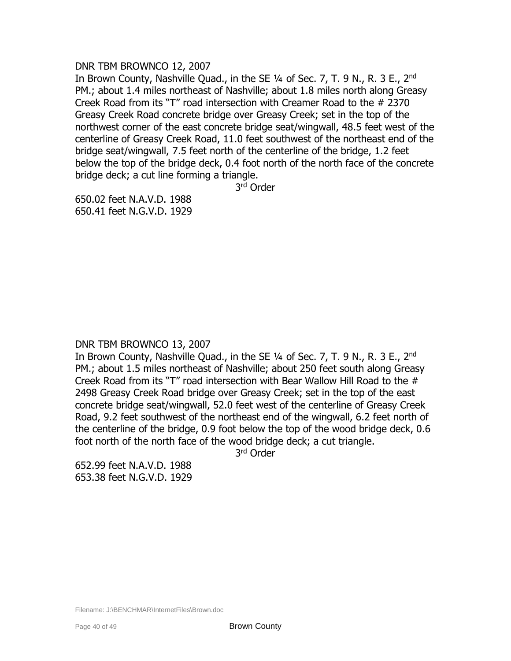## DNR TBM BROWNCO 12, 2007

In Brown County, Nashville Quad., in the SE 1/4 of Sec. 7, T. 9 N., R. 3 E., 2<sup>nd</sup> PM.; about 1.4 miles northeast of Nashville; about 1.8 miles north along Greasy Creek Road from its "T" road intersection with Creamer Road to the # 2370 Greasy Creek Road concrete bridge over Greasy Creek; set in the top of the northwest corner of the east concrete bridge seat/wingwall, 48.5 feet west of the centerline of Greasy Creek Road, 11.0 feet southwest of the northeast end of the bridge seat/wingwall, 7.5 feet north of the centerline of the bridge, 1.2 feet below the top of the bridge deck, 0.4 foot north of the north face of the concrete bridge deck; a cut line forming a triangle.

3 rd Order

650.02 feet N.A.V.D. 1988 650.41 feet N.G.V.D. 1929

# DNR TBM BROWNCO 13, 2007

In Brown County, Nashville Quad., in the SE 1/4 of Sec. 7, T. 9 N., R. 3 E., 2<sup>nd</sup> PM.; about 1.5 miles northeast of Nashville; about 250 feet south along Greasy Creek Road from its "T" road intersection with Bear Wallow Hill Road to the # 2498 Greasy Creek Road bridge over Greasy Creek; set in the top of the east concrete bridge seat/wingwall, 52.0 feet west of the centerline of Greasy Creek Road, 9.2 feet southwest of the northeast end of the wingwall, 6.2 feet north of the centerline of the bridge, 0.9 foot below the top of the wood bridge deck, 0.6 foot north of the north face of the wood bridge deck; a cut triangle.

3 rd Order

652.99 feet N.A.V.D. 1988 653.38 feet N.G.V.D. 1929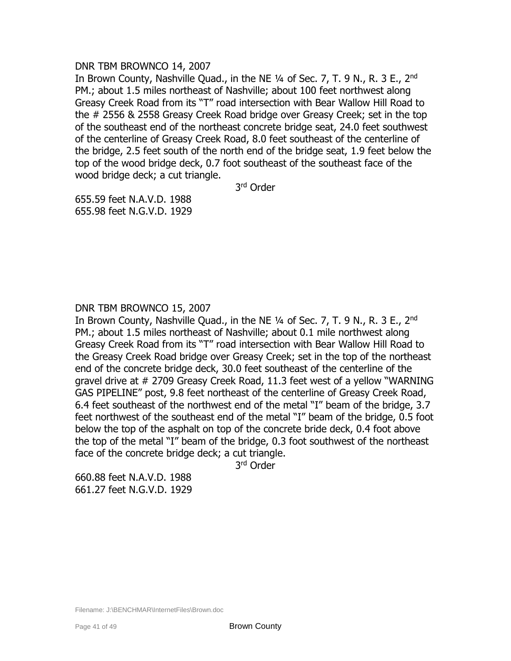## DNR TBM BROWNCO 14, 2007

In Brown County, Nashville Quad., in the NE 1/4 of Sec. 7, T. 9 N., R. 3 E., 2<sup>nd</sup> PM.; about 1.5 miles northeast of Nashville; about 100 feet northwest along Greasy Creek Road from its "T" road intersection with Bear Wallow Hill Road to the # 2556 & 2558 Greasy Creek Road bridge over Greasy Creek; set in the top of the southeast end of the northeast concrete bridge seat, 24.0 feet southwest of the centerline of Greasy Creek Road, 8.0 feet southeast of the centerline of the bridge, 2.5 feet south of the north end of the bridge seat, 1.9 feet below the top of the wood bridge deck, 0.7 foot southeast of the southeast face of the wood bridge deck; a cut triangle.

3 rd Order

655.59 feet N.A.V.D. 1988 655.98 feet N.G.V.D. 1929

# DNR TBM BROWNCO 15, 2007

In Brown County, Nashville Quad., in the NE  $\frac{1}{4}$  of Sec. 7, T. 9 N., R. 3 E., 2<sup>nd</sup> PM.; about 1.5 miles northeast of Nashville; about 0.1 mile northwest along Greasy Creek Road from its "T" road intersection with Bear Wallow Hill Road to the Greasy Creek Road bridge over Greasy Creek; set in the top of the northeast end of the concrete bridge deck, 30.0 feet southeast of the centerline of the gravel drive at # 2709 Greasy Creek Road, 11.3 feet west of a yellow "WARNING GAS PIPELINE" post, 9.8 feet northeast of the centerline of Greasy Creek Road, 6.4 feet southeast of the northwest end of the metal "I" beam of the bridge, 3.7 feet northwest of the southeast end of the metal "I" beam of the bridge, 0.5 foot below the top of the asphalt on top of the concrete bride deck, 0.4 foot above the top of the metal "I" beam of the bridge, 0.3 foot southwest of the northeast face of the concrete bridge deck; a cut triangle.

3 rd Order

660.88 feet N.A.V.D. 1988 661.27 feet N.G.V.D. 1929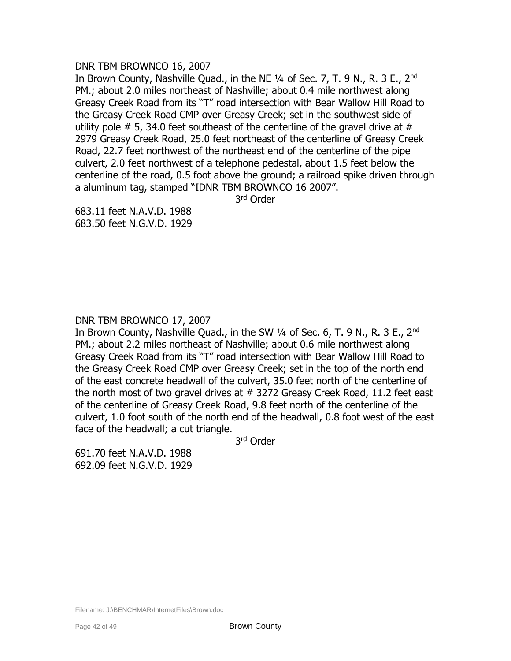## DNR TBM BROWNCO 16, 2007

In Brown County, Nashville Quad., in the NE 1/4 of Sec. 7, T. 9 N., R. 3 E., 2<sup>nd</sup> PM.; about 2.0 miles northeast of Nashville; about 0.4 mile northwest along Greasy Creek Road from its "T" road intersection with Bear Wallow Hill Road to the Greasy Creek Road CMP over Greasy Creek; set in the southwest side of utility pole  $\#$  5, 34.0 feet southeast of the centerline of the gravel drive at  $\#$ 2979 Greasy Creek Road, 25.0 feet northeast of the centerline of Greasy Creek Road, 22.7 feet northwest of the northeast end of the centerline of the pipe culvert, 2.0 feet northwest of a telephone pedestal, about 1.5 feet below the centerline of the road, 0.5 foot above the ground; a railroad spike driven through a aluminum tag, stamped "IDNR TBM BROWNCO 16 2007".

3 rd Order

683.11 feet N.A.V.D. 1988 683.50 feet N.G.V.D. 1929

# DNR TBM BROWNCO 17, 2007

In Brown County, Nashville Quad., in the SW 1/4 of Sec. 6, T. 9 N., R. 3 E., 2<sup>nd</sup> PM.; about 2.2 miles northeast of Nashville; about 0.6 mile northwest along Greasy Creek Road from its "T" road intersection with Bear Wallow Hill Road to the Greasy Creek Road CMP over Greasy Creek; set in the top of the north end of the east concrete headwall of the culvert, 35.0 feet north of the centerline of the north most of two gravel drives at # 3272 Greasy Creek Road, 11.2 feet east of the centerline of Greasy Creek Road, 9.8 feet north of the centerline of the culvert, 1.0 foot south of the north end of the headwall, 0.8 foot west of the east face of the headwall; a cut triangle.

3 rd Order

691.70 feet N.A.V.D. 1988 692.09 feet N.G.V.D. 1929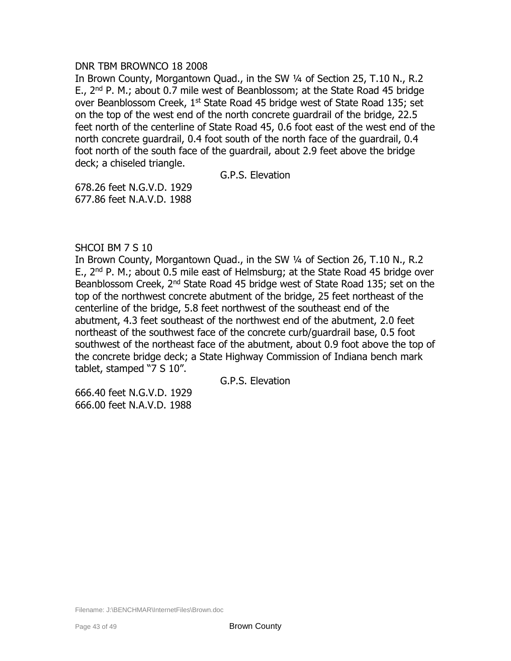## DNR TBM BROWNCO 18 2008

In Brown County, Morgantown Quad., in the SW ¼ of Section 25, T.10 N., R.2 E.,  $2^{nd}$  P. M.; about 0.7 mile west of Beanblossom; at the State Road 45 bridge over Beanblossom Creek, 1<sup>st</sup> State Road 45 bridge west of State Road 135; set on the top of the west end of the north concrete guardrail of the bridge, 22.5 feet north of the centerline of State Road 45, 0.6 foot east of the west end of the north concrete guardrail, 0.4 foot south of the north face of the guardrail, 0.4 foot north of the south face of the guardrail, about 2.9 feet above the bridge deck; a chiseled triangle.

G.P.S. Elevation

678.26 feet N.G.V.D. 1929 677.86 feet N.A.V.D. 1988

# SHCOI BM 7 S 10

In Brown County, Morgantown Quad., in the SW ¼ of Section 26, T.10 N., R.2 E.,  $2^{nd}$  P. M.; about 0.5 mile east of Helmsburg; at the State Road 45 bridge over Beanblossom Creek, 2nd State Road 45 bridge west of State Road 135; set on the top of the northwest concrete abutment of the bridge, 25 feet northeast of the centerline of the bridge, 5.8 feet northwest of the southeast end of the abutment, 4.3 feet southeast of the northwest end of the abutment, 2.0 feet northeast of the southwest face of the concrete curb/guardrail base, 0.5 foot southwest of the northeast face of the abutment, about 0.9 foot above the top of the concrete bridge deck; a State Highway Commission of Indiana bench mark tablet, stamped "7 S 10".

G.P.S. Elevation

666.40 feet N.G.V.D. 1929 666.00 feet N.A.V.D. 1988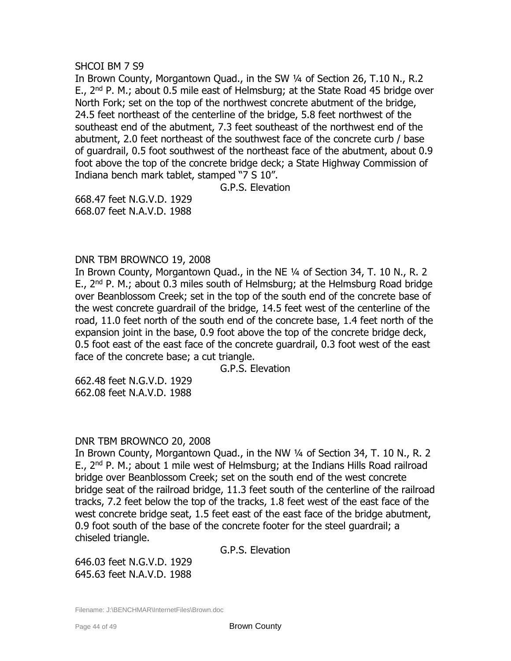## SHCOI BM 7 S9

In Brown County, Morgantown Quad., in the SW ¼ of Section 26, T.10 N., R.2 E.,  $2^{nd}$  P. M.; about 0.5 mile east of Helmsburg; at the State Road 45 bridge over North Fork; set on the top of the northwest concrete abutment of the bridge, 24.5 feet northeast of the centerline of the bridge, 5.8 feet northwest of the southeast end of the abutment, 7.3 feet southeast of the northwest end of the abutment, 2.0 feet northeast of the southwest face of the concrete curb / base of guardrail, 0.5 foot southwest of the northeast face of the abutment, about 0.9 foot above the top of the concrete bridge deck; a State Highway Commission of Indiana bench mark tablet, stamped "7 S 10".

G.P.S. Elevation

668.47 feet N.G.V.D. 1929 668.07 feet N.A.V.D. 1988

## DNR TBM BROWNCO 19, 2008

In Brown County, Morgantown Quad., in the NE ¼ of Section 34, T. 10 N., R. 2 E.,  $2^{nd}$  P. M.; about 0.3 miles south of Helmsburg; at the Helmsburg Road bridge over Beanblossom Creek; set in the top of the south end of the concrete base of the west concrete guardrail of the bridge, 14.5 feet west of the centerline of the road, 11.0 feet north of the south end of the concrete base, 1.4 feet north of the expansion joint in the base, 0.9 foot above the top of the concrete bridge deck, 0.5 foot east of the east face of the concrete guardrail, 0.3 foot west of the east face of the concrete base; a cut triangle.

G.P.S. Elevation

662.48 feet N.G.V.D. 1929 662.08 feet N.A.V.D. 1988

#### DNR TBM BROWNCO 20, 2008

In Brown County, Morgantown Quad., in the NW 1/4 of Section 34, T. 10 N., R. 2 E.,  $2^{nd}$  P. M.; about 1 mile west of Helmsburg; at the Indians Hills Road railroad bridge over Beanblossom Creek; set on the south end of the west concrete bridge seat of the railroad bridge, 11.3 feet south of the centerline of the railroad tracks, 7.2 feet below the top of the tracks, 1.8 feet west of the east face of the west concrete bridge seat, 1.5 feet east of the east face of the bridge abutment, 0.9 foot south of the base of the concrete footer for the steel guardrail; a chiseled triangle.

G.P.S. Elevation

646.03 feet N.G.V.D. 1929 645.63 feet N.A.V.D. 1988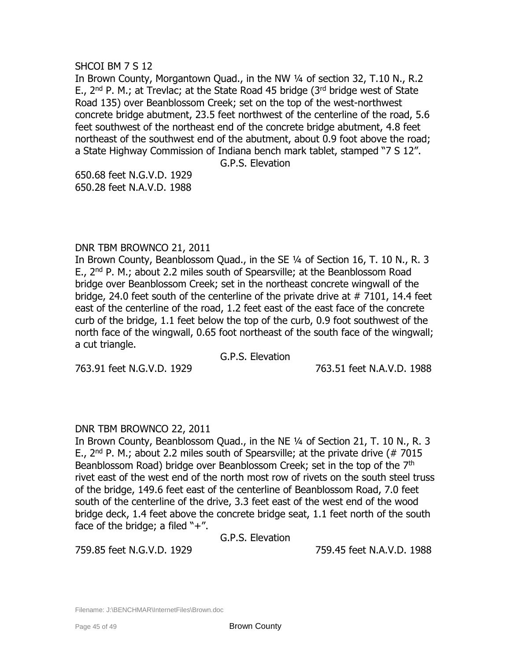SHCOI BM 7 S 12

In Brown County, Morgantown Quad., in the NW 1/4 of section 32, T.10 N., R.2 E.,  $2^{nd}$  P. M.; at Trevlac; at the State Road 45 bridge ( $3^{rd}$  bridge west of State Road 135) over Beanblossom Creek; set on the top of the west-northwest concrete bridge abutment, 23.5 feet northwest of the centerline of the road, 5.6 feet southwest of the northeast end of the concrete bridge abutment, 4.8 feet northeast of the southwest end of the abutment, about 0.9 foot above the road; a State Highway Commission of Indiana bench mark tablet, stamped "7 S 12".

G.P.S. Elevation

650.68 feet N.G.V.D. 1929 650.28 feet N.A.V.D. 1988

## DNR TBM BROWNCO 21, 2011

In Brown County, Beanblossom Quad., in the SE 1/4 of Section 16, T. 10 N., R. 3 E., 2nd P. M.; about 2.2 miles south of Spearsville; at the Beanblossom Road bridge over Beanblossom Creek; set in the northeast concrete wingwall of the bridge, 24.0 feet south of the centerline of the private drive at # 7101, 14.4 feet east of the centerline of the road, 1.2 feet east of the east face of the concrete curb of the bridge, 1.1 feet below the top of the curb, 0.9 foot southwest of the north face of the wingwall, 0.65 foot northeast of the south face of the wingwall; a cut triangle.

G.P.S. Elevation

763.91 feet N.G.V.D. 1929 763.51 feet N.A.V.D. 1988

# DNR TBM BROWNCO 22, 2011

In Brown County, Beanblossom Quad., in the NE ¼ of Section 21, T. 10 N., R. 3 E.,  $2^{nd}$  P. M.; about 2.2 miles south of Spearsville; at the private drive (# 7015 Beanblossom Road) bridge over Beanblossom Creek; set in the top of the 7<sup>th</sup> rivet east of the west end of the north most row of rivets on the south steel truss of the bridge, 149.6 feet east of the centerline of Beanblossom Road, 7.0 feet south of the centerline of the drive, 3.3 feet east of the west end of the wood bridge deck, 1.4 feet above the concrete bridge seat, 1.1 feet north of the south face of the bridge; a filed  $4.4$ ".

G.P.S. Elevation

759.85 feet N.G.V.D. 1929 759.45 feet N.A.V.D. 1988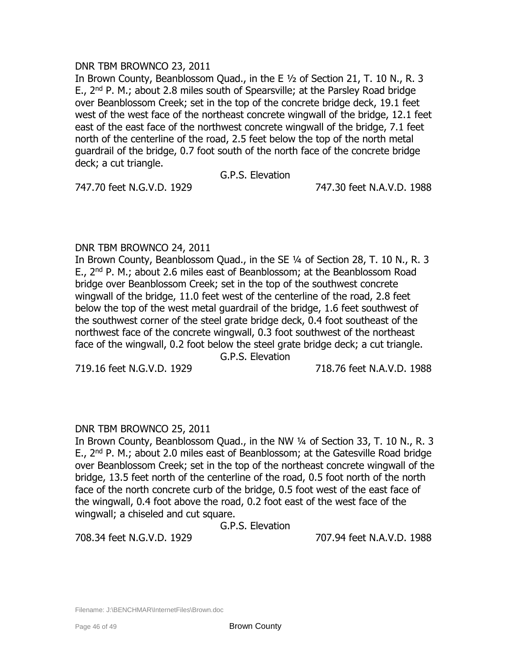# DNR TBM BROWNCO 23, 2011

In Brown County, Beanblossom Quad., in the E ½ of Section 21, T. 10 N., R. 3 E.,  $2^{nd}$  P. M.; about 2.8 miles south of Spearsville; at the Parsley Road bridge over Beanblossom Creek; set in the top of the concrete bridge deck, 19.1 feet west of the west face of the northeast concrete wingwall of the bridge, 12.1 feet east of the east face of the northwest concrete wingwall of the bridge, 7.1 feet north of the centerline of the road, 2.5 feet below the top of the north metal guardrail of the bridge, 0.7 foot south of the north face of the concrete bridge deck; a cut triangle.

G.P.S. Elevation

747.70 feet N.G.V.D. 1929 747.30 feet N.A.V.D. 1988

## DNR TBM BROWNCO 24, 2011

In Brown County, Beanblossom Quad., in the SE 1/4 of Section 28, T. 10 N., R. 3 E., 2nd P. M.; about 2.6 miles east of Beanblossom; at the Beanblossom Road bridge over Beanblossom Creek; set in the top of the southwest concrete wingwall of the bridge, 11.0 feet west of the centerline of the road, 2.8 feet below the top of the west metal guardrail of the bridge, 1.6 feet southwest of the southwest corner of the steel grate bridge deck, 0.4 foot southeast of the northwest face of the concrete wingwall, 0.3 foot southwest of the northeast face of the wingwall, 0.2 foot below the steel grate bridge deck; a cut triangle.

G.P.S. Elevation

719.16 feet N.G.V.D. 1929 718.76 feet N.A.V.D. 1988

# DNR TBM BROWNCO 25, 2011

In Brown County, Beanblossom Quad., in the NW ¼ of Section 33, T. 10 N., R. 3 E.,  $2^{nd}$  P. M.; about 2.0 miles east of Beanblossom; at the Gatesville Road bridge over Beanblossom Creek; set in the top of the northeast concrete wingwall of the bridge, 13.5 feet north of the centerline of the road, 0.5 foot north of the north face of the north concrete curb of the bridge, 0.5 foot west of the east face of the wingwall, 0.4 foot above the road, 0.2 foot east of the west face of the wingwall; a chiseled and cut square.

G.P.S. Elevation

708.34 feet N.G.V.D. 1929 707.94 feet N.A.V.D. 1988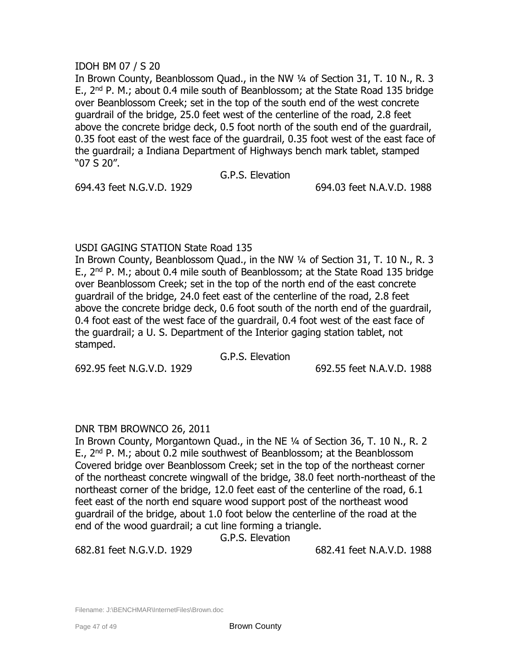# IDOH BM 07 / S 20

In Brown County, Beanblossom Quad., in the NW ¼ of Section 31, T. 10 N., R. 3 E.,  $2^{nd}$  P. M.; about 0.4 mile south of Beanblossom; at the State Road 135 bridge over Beanblossom Creek; set in the top of the south end of the west concrete guardrail of the bridge, 25.0 feet west of the centerline of the road, 2.8 feet above the concrete bridge deck, 0.5 foot north of the south end of the guardrail, 0.35 foot east of the west face of the guardrail, 0.35 foot west of the east face of the guardrail; a Indiana Department of Highways bench mark tablet, stamped "07 S 20".

G.P.S. Elevation

694.43 feet N.G.V.D. 1929 694.03 feet N.A.V.D. 1988

# USDI GAGING STATION State Road 135

In Brown County, Beanblossom Quad., in the NW ¼ of Section 31, T. 10 N., R. 3 E.,  $2^{nd}$  P. M.; about 0.4 mile south of Beanblossom; at the State Road 135 bridge over Beanblossom Creek; set in the top of the north end of the east concrete guardrail of the bridge, 24.0 feet east of the centerline of the road, 2.8 feet above the concrete bridge deck, 0.6 foot south of the north end of the guardrail, 0.4 foot east of the west face of the guardrail, 0.4 foot west of the east face of the guardrail; a U. S. Department of the Interior gaging station tablet, not stamped.

G.P.S. Elevation

692.95 feet N.G.V.D. 1929 692.55 feet N.A.V.D. 1988

# DNR TBM BROWNCO 26, 2011

In Brown County, Morgantown Quad., in the NE ¼ of Section 36, T. 10 N., R. 2 E.,  $2^{nd}$  P. M.; about 0.2 mile southwest of Beanblossom; at the Beanblossom Covered bridge over Beanblossom Creek; set in the top of the northeast corner of the northeast concrete wingwall of the bridge, 38.0 feet north-northeast of the northeast corner of the bridge, 12.0 feet east of the centerline of the road, 6.1 feet east of the north end square wood support post of the northeast wood guardrail of the bridge, about 1.0 foot below the centerline of the road at the end of the wood guardrail; a cut line forming a triangle.

G.P.S. Elevation

682.81 feet N.G.V.D. 1929 682.41 feet N.A.V.D. 1988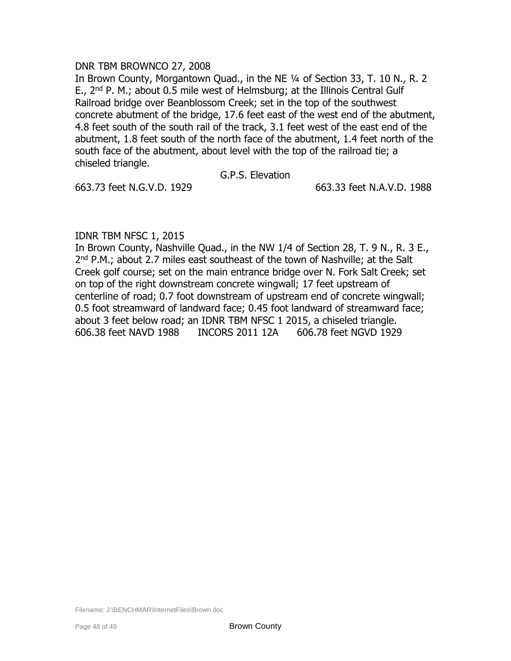## DNR TBM BROWNCO 27, 2008

In Brown County, Morgantown Quad., in the NE ¼ of Section 33, T. 10 N., R. 2 E.,  $2^{nd}$  P. M.; about 0.5 mile west of Helmsburg; at the Illinois Central Gulf Railroad bridge over Beanblossom Creek; set in the top of the southwest concrete abutment of the bridge, 17.6 feet east of the west end of the abutment, 4.8 feet south of the south rail of the track, 3.1 feet west of the east end of the abutment, 1.8 feet south of the north face of the abutment, 1.4 feet north of the south face of the abutment, about level with the top of the railroad tie; a chiseled triangle.

#### G.P.S. Elevation

663.73 feet N.G.V.D. 1929 663.33 feet N.A.V.D. 1988

# IDNR TBM NFSC 1, 2015

In Brown County, Nashville Quad., in the NW 1/4 of Section 28, T. 9 N., R. 3 E., 2<sup>nd</sup> P.M.; about 2.7 miles east southeast of the town of Nashville; at the Salt Creek golf course; set on the main entrance bridge over N. Fork Salt Creek; set on top of the right downstream concrete wingwall; 17 feet upstream of centerline of road; 0.7 foot downstream of upstream end of concrete wingwall; 0.5 foot streamward of landward face; 0.45 foot landward of streamward face; about 3 feet below road; an IDNR TBM NFSC 1 2015, a chiseled triangle. 606.38 feet NAVD 1988 INCORS 2011 12A 606.78 feet NGVD 1929